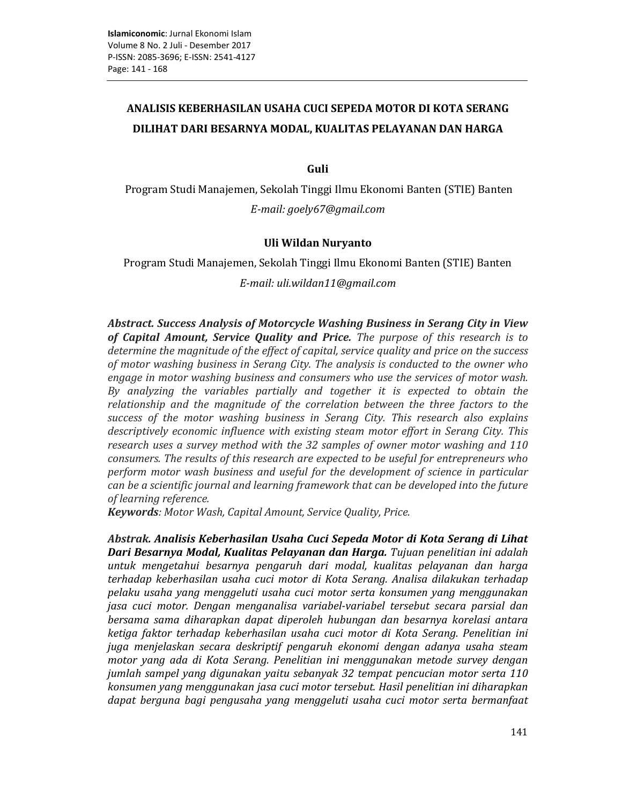# ANALISIS KEBERHASILAN USAHA CUCI SEPEDA MOTOR DI KOTA SERANG DILIHAT DARI BESARNYA MODAL, KUALITAS PELAYANAN DAN HARGA

Guli

Program Studi Manajemen, Sekolah Tinggi Ilmu Ekonomi Banten (STIE) Banten E-mail: goely67@gmail.com

# Uli Wildan Nuryanto

Program Studi Manajemen, Sekolah Tinggi Ilmu Ekonomi Banten (STIE) Banten E-mail: uli.wildan11@gmail.com

Abstract. Success Analysis of Motorcycle Washing Business in Serang City in View of Capital Amount, Service Quality and Price. The purpose of this research is to determine the magnitude of the effect of capital, service quality and price on the success of motor washing business in Serang City. The analysis is conducted to the owner who engage in motor washing business and consumers who use the services of motor wash. By analyzing the variables partially and together it is expected to obtain the relationship and the magnitude of the correlation between the three factors to the success of the motor washing business in Serang City. This research also explains descriptively economic influence with existing steam motor effort in Serang City. This research uses a survey method with the 32 samples of owner motor washing and 110 consumers. The results of this research are expected to be useful for entrepreneurs who perform motor wash business and useful for the development of science in particular can be a scientific journal and learning framework that can be developed into the future of learning reference.

Keywords: Motor Wash, Capital Amount, Service Quality, Price.

Abstrak. Analisis Keberhasilan Usaha Cuci Sepeda Motor di Kota Serang di Lihat Dari Besarnya Modal, Kualitas Pelayanan dan Harga. Tujuan penelitian ini adalah untuk mengetahui besarnya pengaruh dari modal, kualitas pelayanan dan harga terhadap keberhasilan usaha cuci motor di Kota Serang. Analisa dilakukan terhadap pelaku usaha yang menggeluti usaha cuci motor serta konsumen yang menggunakan jasa cuci motor. Dengan menganalisa variabel-variabel tersebut secara parsial dan bersama sama diharapkan dapat diperoleh hubungan dan besarnya korelasi antara ketiga faktor terhadap keberhasilan usaha cuci motor di Kota Serang. Penelitian ini juga menjelaskan secara deskriptif pengaruh ekonomi dengan adanya usaha steam motor yang ada di Kota Serang. Penelitian ini menggunakan metode survey dengan jumlah sampel yang digunakan yaitu sebanyak 32 tempat pencucian motor serta 110 konsumen yang menggunakan jasa cuci motor tersebut. Hasil penelitian ini diharapkan dapat berguna bagi pengusaha yang menggeluti usaha cuci motor serta bermanfaat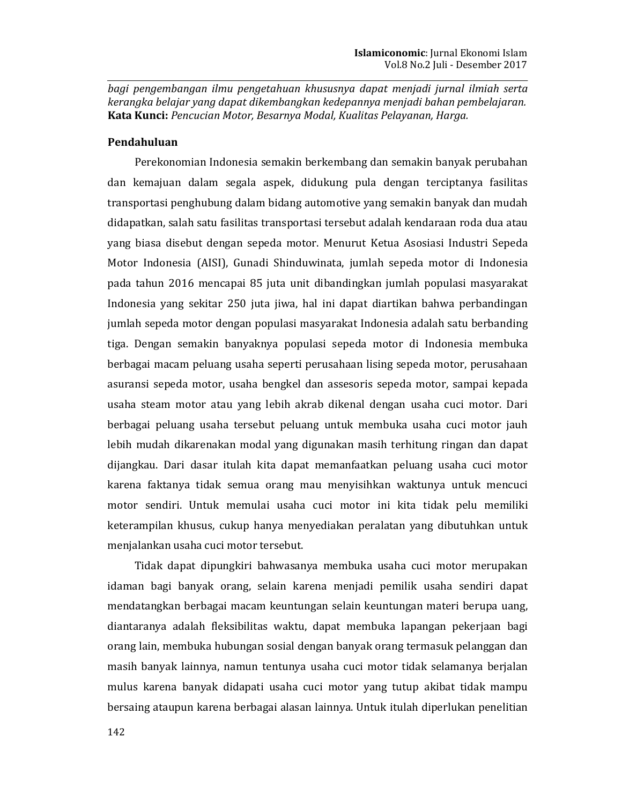bagi pengembangan ilmu pengetahuan khususnya dapat menjadi jurnal ilmiah serta kerangka belajar yang dapat dikembangkan kedepannya menjadi bahan pembelajaran. Kata Kunci: Pencucian Motor, Besarnya Modal, Kualitas Pelayanan, Harga.

# Pendahuluan

Perekonomian Indonesia semakin berkembang dan semakin banyak perubahan dan kemajuan dalam segala aspek, didukung pula dengan terciptanya fasilitas transportasi penghubung dalam bidang automotive yang semakin banyak dan mudah didapatkan, salah satu fasilitas transportasi tersebut adalah kendaraan roda dua atau yang biasa disebut dengan sepeda motor. Menurut Ketua Asosiasi Industri Sepeda Motor Indonesia (AISI), Gunadi Shinduwinata, jumlah sepeda motor di Indonesia pada tahun 2016 mencapai 85 juta unit dibandingkan jumlah populasi masyarakat Indonesia yang sekitar 250 juta jiwa, hal ini dapat diartikan bahwa perbandingan jumlah sepeda motor dengan populasi masyarakat Indonesia adalah satu berbanding tiga. Dengan semakin banyaknya populasi sepeda motor di Indonesia membuka berbagai macam peluang usaha seperti perusahaan lising sepeda motor, perusahaan asuransi sepeda motor, usaha bengkel dan assesoris sepeda motor, sampai kepada usaha steam motor atau yang lebih akrab dikenal dengan usaha cuci motor. Dari berbagai peluang usaha tersebut peluang untuk membuka usaha cuci motor jauh lebih mudah dikarenakan modal yang digunakan masih terhitung ringan dan dapat dijangkau. Dari dasar itulah kita dapat memanfaatkan peluang usaha cuci motor karena faktanya tidak semua orang mau menyisihkan waktunya untuk mencuci motor sendiri. Untuk memulai usaha cuci motor ini kita tidak pelu memiliki keterampilan khusus, cukup hanya menyediakan peralatan yang dibutuhkan untuk menjalankan usaha cuci motor tersebut.

Tidak dapat dipungkiri bahwasanya membuka usaha cuci motor merupakan idaman bagi banyak orang, selain karena menjadi pemilik usaha sendiri dapat mendatangkan berbagai macam keuntungan selain keuntungan materi berupa uang, diantaranya adalah fleksibilitas waktu, dapat membuka lapangan pekerjaan bagi orang lain, membuka hubungan sosial dengan banyak orang termasuk pelanggan dan masih banyak lainnya, namun tentunya usaha cuci motor tidak selamanya berjalan mulus karena banyak didapati usaha cuci motor yang tutup akibat tidak mampu bersaing ataupun karena berbagai alasan lainnya. Untuk itulah diperlukan penelitian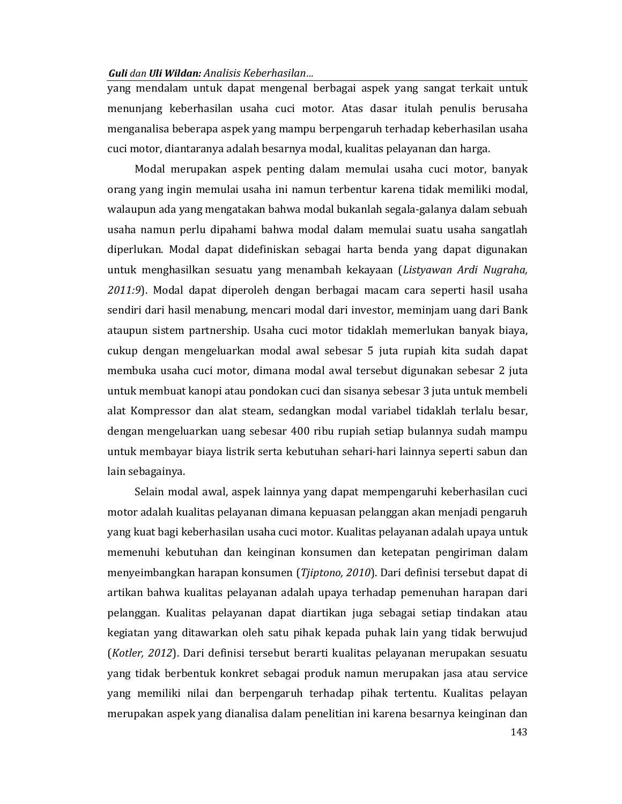yang mendalam untuk dapat mengenal berbagai aspek yang sangat terkait untuk menunjang keberhasilan usaha cuci motor. Atas dasar itulah penulis berusaha menganalisa beberapa aspek yang mampu berpengaruh terhadap keberhasilan usaha cuci motor, diantaranya adalah besarnya modal, kualitas pelayanan dan harga.

Modal merupakan aspek penting dalam memulai usaha cuci motor, banyak orang yang ingin memulai usaha ini namun terbentur karena tidak memiliki modal, walaupun ada yang mengatakan bahwa modal bukanlah segala-galanya dalam sebuah usaha namun perlu dipahami bahwa modal dalam memulai suatu usaha sangatlah diperlukan. Modal dapat didefiniskan sebagai harta benda yang dapat digunakan untuk menghasilkan sesuatu yang menambah kekayaan (Listyawan Ardi Nugraha, 2011:9). Modal dapat diperoleh dengan berbagai macam cara seperti hasil usaha sendiri dari hasil menabung, mencari modal dari investor, meminjam uang dari Bank ataupun sistem partnership. Usaha cuci motor tidaklah memerlukan banyak biaya, cukup dengan mengeluarkan modal awal sebesar 5 juta rupiah kita sudah dapat membuka usaha cuci motor, dimana modal awal tersebut digunakan sebesar 2 juta untuk membuat kanopi atau pondokan cuci dan sisanya sebesar 3 juta untuk membeli alat Kompressor dan alat steam, sedangkan modal variabel tidaklah terlalu besar, dengan mengeluarkan uang sebesar 400 ribu rupiah setiap bulannya sudah mampu untuk membayar biaya listrik serta kebutuhan sehari-hari lainnya seperti sabun dan lain sebagainya.

Selain modal awal, aspek lainnya yang dapat mempengaruhi keberhasilan cuci motor adalah kualitas pelayanan dimana kepuasan pelanggan akan menjadi pengaruh yang kuat bagi keberhasilan usaha cuci motor. Kualitas pelayanan adalah upaya untuk memenuhi kebutuhan dan keinginan konsumen dan ketepatan pengiriman dalam menyeimbangkan harapan konsumen (Tiiptono, 2010). Dari definisi tersebut dapat di artikan bahwa kualitas pelayanan adalah upaya terhadap pemenuhan harapan dari pelanggan. Kualitas pelayanan dapat diartikan juga sebagai setiap tindakan atau kegiatan yang ditawarkan oleh satu pihak kepada puhak lain yang tidak berwujud (Kotler, 2012). Dari definisi tersebut berarti kualitas pelayanan merupakan sesuatu yang tidak berbentuk konkret sebagai produk namun merupakan jasa atau service yang memiliki nilai dan berpengaruh terhadap pihak tertentu. Kualitas pelayan merupakan aspek yang dianalisa dalam penelitian ini karena besarnya keinginan dan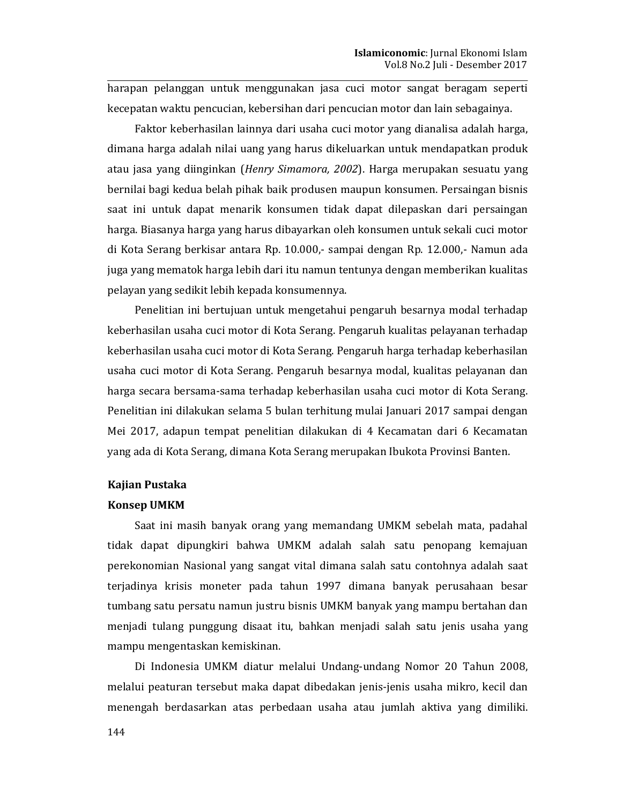harapan pelanggan untuk menggunakan jasa cuci motor sangat beragam seperti kecepatan waktu pencucian, kebersihan dari pencucian motor dan lain sebagainya.

Faktor keberhasilan lainnya dari usaha cuci motor yang dianalisa adalah harga, dimana harga adalah nilai uang yang harus dikeluarkan untuk mendapatkan produk atau jasa yang diinginkan (Henry Simamora, 2002). Harga merupakan sesuatu yang bernilai bagi kedua belah pihak baik produsen maupun konsumen. Persaingan bisnis saat ini untuk dapat menarik konsumen tidak dapat dilepaskan dari persaingan harga. Biasanya harga yang harus dibayarkan oleh konsumen untuk sekali cuci motor di Kota Serang berkisar antara Rp. 10.000,- sampai dengan Rp. 12.000,- Namun ada juga yang mematok harga lebih dari itu namun tentunya dengan memberikan kualitas pelayan yang sedikit lebih kepada konsumennya.

Penelitian ini bertujuan untuk mengetahui pengaruh besarnya modal terhadap keberhasilan usaha cuci motor di Kota Serang. Pengaruh kualitas pelayanan terhadap keberhasilan usaha cuci motor di Kota Serang. Pengaruh harga terhadap keberhasilan usaha cuci motor di Kota Serang. Pengaruh besarnya modal, kualitas pelayanan dan harga secara bersama-sama terhadap keberhasilan usaha cuci motor di Kota Serang. Penelitian ini dilakukan selama 5 bulan terhitung mulai Januari 2017 sampai dengan Mei 2017, adapun tempat penelitian dilakukan di 4 Kecamatan dari 6 Kecamatan yang ada di Kota Serang, dimana Kota Serang merupakan Ibukota Provinsi Banten.

# **Kajian Pustaka**

#### **Konsep UMKM**

Saat ini masih banyak orang yang memandang UMKM sebelah mata, padahal tidak dapat dipungkiri bahwa UMKM adalah salah satu penopang kemajuan perekonomian Nasional yang sangat vital dimana salah satu contohnya adalah saat teriadinya krisis moneter pada tahun 1997 dimana banyak perusahaan besar tumbang satu persatu namun justru bisnis UMKM banyak yang mampu bertahan dan menjadi tulang punggung disaat itu, bahkan menjadi salah satu jenis usaha yang mampu mengentaskan kemiskinan.

Di Indonesia UMKM diatur melalui Undang-undang Nomor 20 Tahun 2008, melalui peaturan tersebut maka dapat dibedakan jenis-jenis usaha mikro, kecil dan menengah berdasarkan atas perbedaan usaha atau jumlah aktiva yang dimiliki.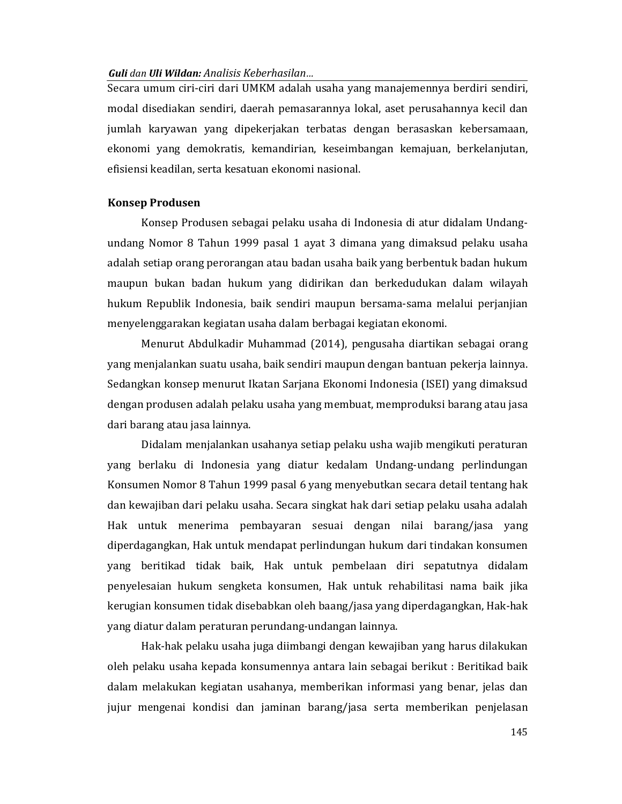Secara umum ciri-ciri dari UMKM adalah usaha yang manajemennya berdiri sendiri, modal disediakan sendiri, daerah pemasarannya lokal, aset perusahannya kecil dan jumlah karyawan yang dipekerjakan terbatas dengan berasaskan kebersamaan, ekonomi yang demokratis, kemandirian, keseimbangan kemajuan, berkelanjutan, efisiensi keadilan, serta kesatuan ekonomi nasional.

# **Konsep Produsen**

Konsep Produsen sebagai pelaku usaha di Indonesia di atur didalam Undangundang Nomor 8 Tahun 1999 pasal 1 ayat 3 dimana yang dimaksud pelaku usaha adalah setiap orang perorangan atau badan usaha baik yang berbentuk badan hukum maupun bukan badan hukum yang didirikan dan berkedudukan dalam wilayah hukum Republik Indonesia, baik sendiri maupun bersama-sama melalui perjanjian menyelenggarakan kegiatan usaha dalam berbagai kegiatan ekonomi.

Menurut Abdulkadir Muhammad (2014), pengusaha diartikan sebagai orang yang menjalankan suatu usaha, baik sendiri maupun dengan bantuan pekerja lainnya. Sedangkan konsep menurut Ikatan Sarjana Ekonomi Indonesia (ISEI) yang dimaksud dengan produsen adalah pelaku usaha yang membuat, memproduksi barang atau jasa dari barang atau jasa lainnya.

Didalam menjalankan usahanya setiap pelaku usha wajib mengikuti peraturan yang berlaku di Indonesia yang diatur kedalam Undang-undang perlindungan Konsumen Nomor 8 Tahun 1999 pasal 6 yang menyebutkan secara detail tentang hak dan kewajiban dari pelaku usaha. Secara singkat hak dari setiap pelaku usaha adalah Hak untuk menerima pembayaran sesuai dengan nilai barang/jasa yang diperdagangkan, Hak untuk mendapat perlindungan hukum dari tindakan konsumen yang beritikad tidak baik, Hak untuk pembelaan diri sepatutnya didalam penyelesaian hukum sengketa konsumen, Hak untuk rehabilitasi nama baik jika kerugian konsumen tidak disebabkan oleh baang/jasa yang diperdagangkan, Hak-hak yang diatur dalam peraturan perundang-undangan lainnya.

Hak-hak pelaku usaha juga diimbangi dengan kewajiban yang harus dilakukan oleh pelaku usaha kepada konsumennya antara lain sebagai berikut : Beritikad baik dalam melakukan kegiatan usahanya, memberikan informasi yang benar, jelas dan jujur mengenai kondisi dan jaminan barang/jasa serta memberikan penjelasan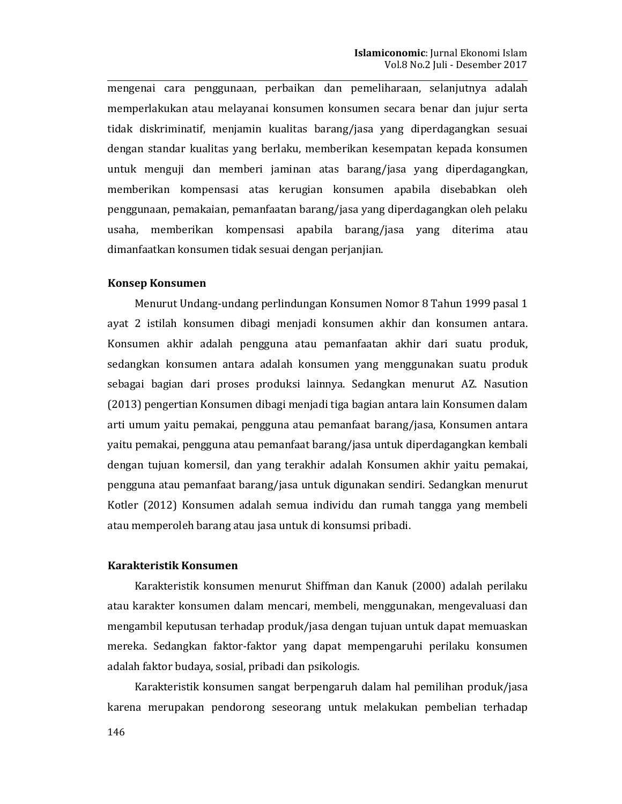mengenai cara penggunaan, perbaikan dan pemeliharaan, selanjutnya adalah memperlakukan atau melayanai konsumen konsumen secara benar dan jujur serta tidak diskriminatif, menjamin kualitas barang/jasa yang diperdagangkan sesuai dengan standar kualitas yang berlaku, memberikan kesempatan kepada konsumen untuk menguji dan memberi jaminan atas barang/jasa yang diperdagangkan, memberikan kompensasi atas kerugian konsumen apabila disebabkan oleh penggunaan, pemakaian, pemanfaatan barang/jasa yang diperdagangkan oleh pelaku usaha, memberikan kompensasi apabila barang/jasa yang diterima atau dimanfaatkan konsumen tidak sesuai dengan perjanjian.

## **Konsep Konsumen**

Menurut Undang-undang perlindungan Konsumen Nomor 8 Tahun 1999 pasal 1 ayat 2 istilah konsumen dibagi menjadi konsumen akhir dan konsumen antara. Konsumen akhir adalah pengguna atau pemanfaatan akhir dari suatu produk, sedangkan konsumen antara adalah konsumen yang menggunakan suatu produk sebagai bagian dari proses produksi lainnya. Sedangkan menurut AZ. Nasution (2013) pengertian Konsumen dibagi menjadi tiga bagian antara lain Konsumen dalam arti umum yaitu pemakai, pengguna atau pemanfaat barang/jasa, Konsumen antara yaitu pemakai, pengguna atau pemanfaat barang/jasa untuk diperdagangkan kembali dengan tujuan komersil, dan yang terakhir adalah Konsumen akhir yaitu pemakai, pengguna atau pemanfaat barang/jasa untuk digunakan sendiri. Sedangkan menurut Kotler (2012) Konsumen adalah semua individu dan rumah tangga yang membeli atau memperoleh barang atau jasa untuk di konsumsi pribadi.

# Karakteristik Konsumen

Karakteristik konsumen menurut Shiffman dan Kanuk (2000) adalah perilaku atau karakter konsumen dalam mencari, membeli, menggunakan, mengevaluasi dan mengambil keputusan terhadap produk/jasa dengan tujuan untuk dapat memuaskan mereka. Sedangkan faktor-faktor yang dapat mempengaruhi perilaku konsumen adalah faktor budaya, sosial, pribadi dan psikologis.

Karakteristik konsumen sangat berpengaruh dalam hal pemilihan produk/jasa karena merupakan pendorong seseorang untuk melakukan pembelian terhadap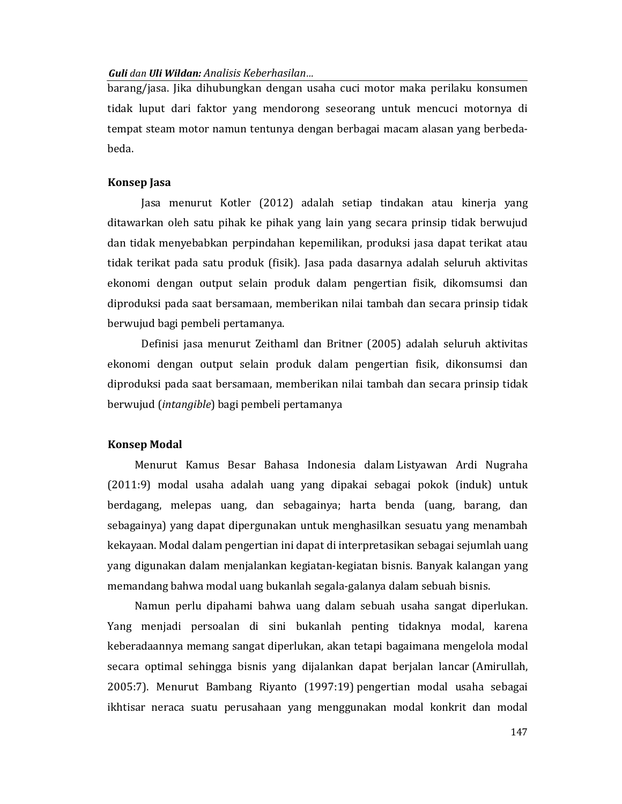barang/jasa. Jika dihubungkan dengan usaha cuci motor maka perilaku konsumen tidak luput dari faktor yang mendorong seseorang untuk mencuci motornya di tempat steam motor namun tentunya dengan berbagai macam alasan yang berbedabeda.

## **Konsep Jasa**

Jasa menurut Kotler (2012) adalah setiap tindakan atau kinerja yang ditawarkan oleh satu pihak ke pihak yang lain yang secara prinsip tidak berwujud dan tidak menyebabkan perpindahan kepemilikan, produksi jasa dapat terikat atau tidak terikat pada satu produk (fisik). Jasa pada dasarnya adalah seluruh aktivitas ekonomi dengan output selain produk dalam pengertian fisik, dikomsumsi dan diproduksi pada saat bersamaan, memberikan nilai tambah dan secara prinsip tidak berwujud bagi pembeli pertamanya.

Definisi jasa menurut Zeithaml dan Britner (2005) adalah seluruh aktivitas ekonomi dengan output selain produk dalam pengertian fisik, dikonsumsi dan diproduksi pada saat bersamaan, memberikan nilai tambah dan secara prinsip tidak berwujud (*intangible*) bagi pembeli pertamanya

#### **Konsep Modal**

Menurut Kamus Besar Bahasa Indonesia dalam Listyawan Ardi Nugraha (2011:9) modal usaha adalah uang yang dipakai sebagai pokok (induk) untuk berdagang, melepas uang, dan sebagainya; harta benda (uang, barang, dan sebagainya) yang dapat dipergunakan untuk menghasilkan sesuatu yang menambah kekayaan. Modal dalam pengertian ini dapat di interpretasikan sebagai sejumlah uang yang digunakan dalam menjalankan kegiatan-kegiatan bisnis. Banyak kalangan yang memandang bahwa modal uang bukanlah segala-galanya dalam sebuah bisnis.

Namun perlu dipahami bahwa uang dalam sebuah usaha sangat diperlukan. Yang menjadi persoalan di sini bukanlah penting tidaknya modal, karena keberadaannya memang sangat diperlukan, akan tetapi bagaimana mengelola modal secara optimal sehingga bisnis yang dijalankan dapat berjalan lancar (Amirullah, 2005:7). Menurut Bambang Riyanto (1997:19) pengertian modal usaha sebagai ikhtisar neraca suatu perusahaan yang menggunakan modal konkrit dan modal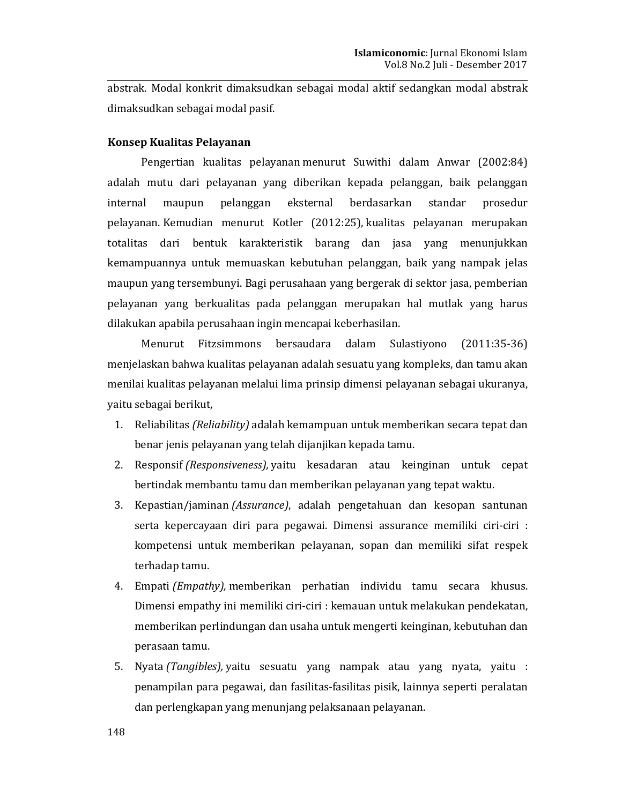abstrak. Modal konkrit dimaksudkan sebagai modal aktif sedangkan modal abstrak dimaksudkan sebagai modal pasif.

# Konsep Kualitas Pelayanan

Pengertian kualitas pelayanan menurut Suwithi dalam Anwar (2002:84) adalah mutu dari pelayanan yang diberikan kepada pelanggan, baik pelanggan eksternal internal maupun pelanggan berdasarkan standar prosedur pelayanan. Kemudian menurut Kotler (2012:25), kualitas pelayanan merupakan totalitas dari bentuk karakteristik barang dan jasa yang menunjukkan kemampuannya untuk memuaskan kebutuhan pelanggan, baik yang nampak jelas maupun yang tersembunyi. Bagi perusahaan yang bergerak di sektor jasa, pemberian pelayanan yang berkualitas pada pelanggan merupakan hal mutlak yang harus dilakukan apabila perusahaan ingin mencapai keberhasilan.

Menurut Fitzsimmons bersaudara dalam Sulastiyono  $(2011:35-36)$ menjelaskan bahwa kualitas pelayanan adalah sesuatu yang kompleks, dan tamu akan menilai kualitas pelayanan melalui lima prinsip dimensi pelayanan sebagai ukuranya, yaitu sebagai berikut,

- 1. Reliabilitas *(Reliability)* adalah kemampuan untuk memberikan secara tepat dan benar jenis pelayanan yang telah dijanjikan kepada tamu.
- 2. Responsif (Responsiveness), yaitu kesadaran atau keinginan untuk cepat bertindak membantu tamu dan memberikan pelayanan yang tepat waktu.
- 3. Kepastian/jaminan (Assurance), adalah pengetahuan dan kesopan santunan serta kepercayaan diri para pegawai. Dimensi assurance memiliki ciri-ciri : kompetensi untuk memberikan pelayanan, sopan dan memiliki sifat respek terhadap tamu.
- 4. Empati (Empathy), memberikan perhatian individu tamu secara khusus. Dimensi empathy ini memiliki ciri-ciri : kemauan untuk melakukan pendekatan, memberikan perlindungan dan usaha untuk mengerti keinginan, kebutuhan dan perasaan tamu.
- 5. Nyata (Tangibles), yaitu sesuatu yang nampak atau yang nyata, yaitu : penampilan para pegawai, dan fasilitas-fasilitas pisik, lainnya seperti peralatan dan perlengkapan yang menunjang pelaksanaan pelayanan.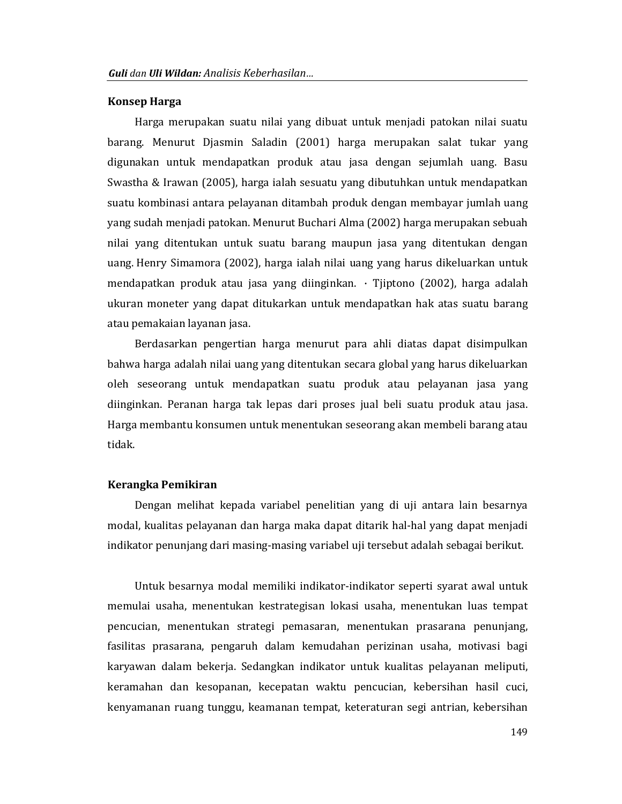#### **Konsep Harga**

Harga merupakan suatu nilai yang dibuat untuk menjadi patokan nilai suatu barang. Menurut Djasmin Saladin (2001) harga merupakan salat tukar yang digunakan untuk mendapatkan produk atau jasa dengan sejumlah uang. Basu Swastha & Irawan (2005), harga ialah sesuatu yang dibutuhkan untuk mendapatkan suatu kombinasi antara pelayanan ditambah produk dengan membayar jumlah uang yang sudah menjadi patokan. Menurut Buchari Alma (2002) harga merupakan sebuah nilai yang ditentukan untuk suatu barang maupun jasa yang ditentukan dengan uang. Henry Simamora (2002), harga ialah nilai uang yang harus dikeluarkan untuk mendapatkan produk atau jasa yang diinginkan. · Tjiptono (2002), harga adalah ukuran moneter yang dapat ditukarkan untuk mendapatkan hak atas suatu barang atau pemakaian layanan jasa.

Berdasarkan pengertian harga menurut para ahli diatas dapat disimpulkan bahwa harga adalah nilai uang yang ditentukan secara global yang harus dikeluarkan oleh seseorang untuk mendapatkan suatu produk atau pelayanan jasa yang diinginkan. Peranan harga tak lepas dari proses jual beli suatu produk atau jasa. Harga membantu konsumen untuk menentukan seseorang akan membeli barang atau tidak.

## Kerangka Pemikiran

Dengan melihat kepada variabel penelitian yang di uji antara lain besarnya modal, kualitas pelayanan dan harga maka dapat ditarik hal-hal yang dapat menjadi indikator penunjang dari masing-masing variabel uji tersebut adalah sebagai berikut.

Untuk besarnya modal memiliki indikator-indikator seperti syarat awal untuk memulai usaha, menentukan kestrategisan lokasi usaha, menentukan luas tempat pencucian, menentukan strategi pemasaran, menentukan prasarana penunjang, fasilitas prasarana, pengaruh dalam kemudahan perizinan usaha, motivasi bagi karyawan dalam bekerja. Sedangkan indikator untuk kualitas pelayanan meliputi, keramahan dan kesopanan, kecepatan waktu pencucian, kebersihan hasil cuci, kenyamanan ruang tunggu, keamanan tempat, keteraturan segi antrian, kebersihan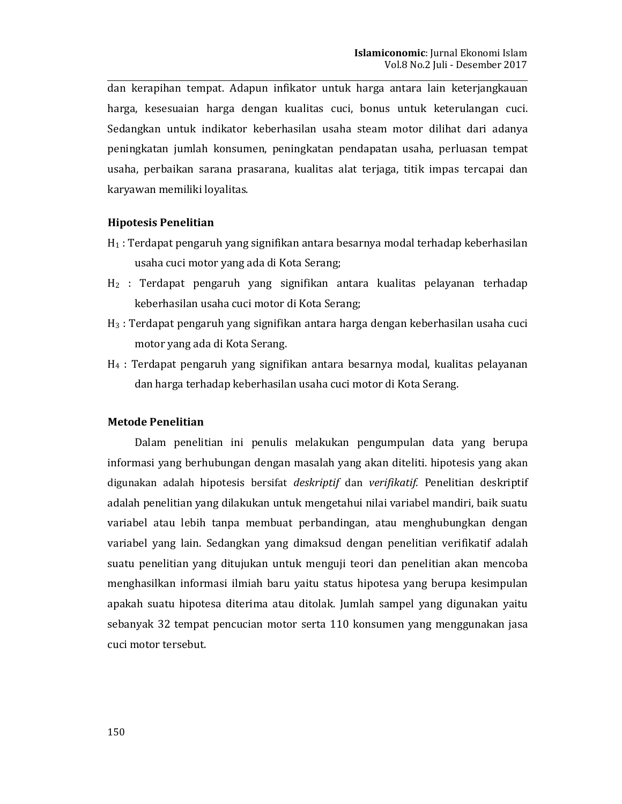dan kerapihan tempat. Adapun infikator untuk harga antara lain keterjangkauan harga, kesesuaian harga dengan kualitas cuci, bonus untuk keterulangan cuci. Sedangkan untuk indikator keberhasilan usaha steam motor dilihat dari adanya peningkatan jumlah konsumen, peningkatan pendapatan usaha, perluasan tempat usaha, perbaikan sarana prasarana, kualitas alat terjaga, titik impas tercapai dan karyawan memiliki loyalitas.

# **Hipotesis Penelitian**

- $H_1$ : Terdapat pengaruh yang signifikan antara besarnya modal terhadap keberhasilan usaha cuci motor yang ada di Kota Serang;
- H<sub>2</sub> : Terdapat pengaruh yang signifikan antara kualitas pelayanan terhadap keberhasilan usaha cuci motor di Kota Serang;
- H<sub>3</sub>: Terdapat pengaruh yang signifikan antara harga dengan keberhasilan usaha cuci motor yang ada di Kota Serang.
- $H_4$ : Terdapat pengaruh yang signifikan antara besarnya modal, kualitas pelayanan dan harga terhadap keberhasilan usaha cuci motor di Kota Serang.

# **Metode Penelitian**

Dalam penelitian ini penulis melakukan pengumpulan data yang berupa informasi yang berhubungan dengan masalah yang akan diteliti. hipotesis yang akan digunakan adalah hipotesis bersifat *deskriptif* dan verifikatif. Penelitian deskriptif adalah penelitian yang dilakukan untuk mengetahui nilai variabel mandiri, baik suatu variabel atau lebih tanpa membuat perbandingan, atau menghubungkan dengan variabel yang lain. Sedangkan yang dimaksud dengan penelitian verifikatif adalah suatu penelitian yang ditujukan untuk menguji teori dan penelitian akan mencoba menghasilkan informasi ilmiah baru yaitu status hipotesa yang berupa kesimpulan apakah suatu hipotesa diterima atau ditolak. Jumlah sampel yang digunakan yaitu sebanyak 32 tempat pencucian motor serta 110 konsumen yang menggunakan jasa cuci motor tersebut.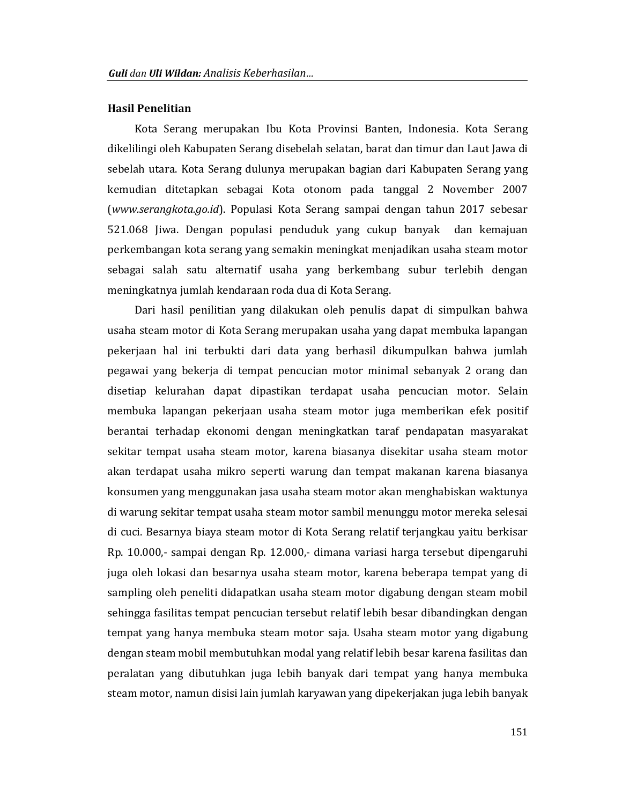#### **Hasil Penelitian**

Kota Serang merupakan Ibu Kota Provinsi Banten, Indonesia. Kota Serang dikelilingi oleh Kabupaten Serang disebelah selatan, barat dan timur dan Laut Jawa di sebelah utara. Kota Serang dulunya merupakan bagian dari Kabupaten Serang yang kemudian ditetapkan sebagai Kota otonom pada tanggal 2 November 2007 (www.serangkota.go.id). Populasi Kota Serang sampai dengan tahun 2017 sebesar 521.068 Jiwa. Dengan populasi penduduk yang cukup banyak dan kemajuan perkembangan kota serang yang semakin meningkat menjadikan usaha steam motor sebagai salah satu alternatif usaha yang berkembang subur terlebih dengan meningkatnya jumlah kendaraan roda dua di Kota Serang.

Dari hasil penilitian yang dilakukan oleh penulis dapat di simpulkan bahwa usaha steam motor di Kota Serang merupakan usaha yang dapat membuka lapangan pekerjaan hal ini terbukti dari data yang berhasil dikumpulkan bahwa jumlah pegawai yang bekerja di tempat pencucian motor minimal sebanyak 2 orang dan disetiap kelurahan dapat dipastikan terdapat usaha pencucian motor. Selain membuka lapangan pekerjaan usaha steam motor juga memberikan efek positif berantai terhadap ekonomi dengan meningkatkan taraf pendapatan masyarakat sekitar tempat usaha steam motor, karena biasanya disekitar usaha steam motor akan terdapat usaha mikro seperti warung dan tempat makanan karena biasanya konsumen yang menggunakan jasa usaha steam motor akan menghabiskan waktunya di warung sekitar tempat usaha steam motor sambil menunggu motor mereka selesai di cuci. Besarnya biaya steam motor di Kota Serang relatif terjangkau yaitu berkisar Rp. 10.000,- sampai dengan Rp. 12.000,- dimana variasi harga tersebut dipengaruhi juga oleh lokasi dan besarnya usaha steam motor, karena beberapa tempat yang di sampling oleh peneliti didapatkan usaha steam motor digabung dengan steam mobil sehingga fasilitas tempat pencucian tersebut relatif lebih besar dibandingkan dengan tempat yang hanya membuka steam motor saja. Usaha steam motor yang digabung dengan steam mobil membutuhkan modal yang relatif lebih besar karena fasilitas dan peralatan yang dibutuhkan juga lebih banyak dari tempat yang hanya membuka steam motor, namun disisi lain jumlah karyawan yang dipekerjakan juga lebih banyak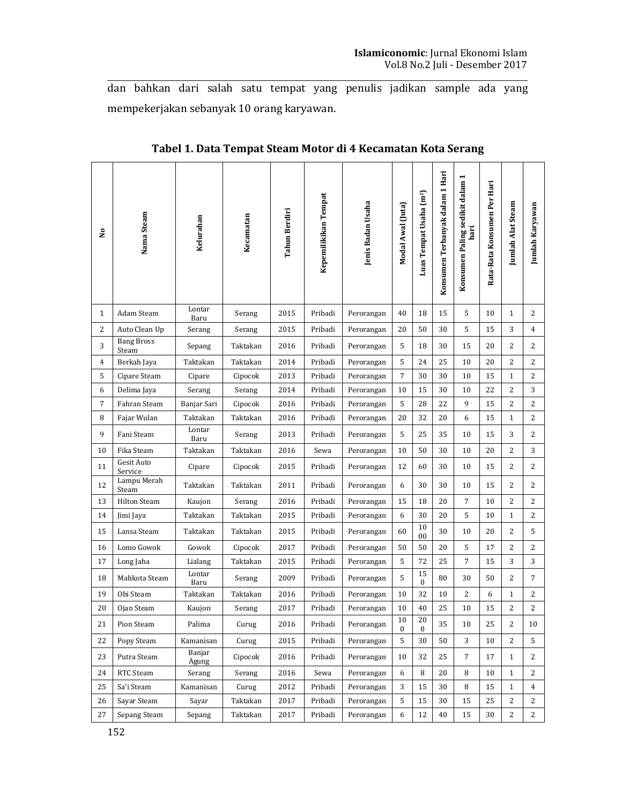dan bahkan dari salah satu tempat yang penulis jadikan sample ada yang mempekerjakan sebanyak 10 orang karyawan.

| <b>S</b> | Nama Steam                 | Kelurahan       | Kecamatan | Tahun Berdiri | Kepemilikikan Tempat | Jenis Badan Usaha | Modal Awal (Juta)      | Luas Tempat Usaha (m <sup>2</sup> ) | Konsumen Terbanyak dalam 1 Hari | Konsumen Paling sedikit dalam 1<br>hari | Rata-Rata Konsumen Per Hari | Jumlah Alat Steam | <b>Jumlah Karyawan</b> |
|----------|----------------------------|-----------------|-----------|---------------|----------------------|-------------------|------------------------|-------------------------------------|---------------------------------|-----------------------------------------|-----------------------------|-------------------|------------------------|
| 1        | Adam Steam                 | Lontar<br>Baru  | Serang    | 2015          | Pribadi              | Perorangan        | 40                     | 18                                  | 15                              | 5                                       | 10                          | $\mathbf{1}$      | 2                      |
| 2        | Auto Clean Up              | Serang          | Serang    | 2015          | Pribadi              | Perorangan        | 20                     | 50                                  | 30                              | 5                                       | 15                          | 3                 | 4                      |
| 3        | <b>Bang Bross</b><br>Steam | Sepang          | Taktakan  | 2016          | Pribadi              | Perorangan        | 5                      | 18                                  | 30                              | 15                                      | 20                          | 2                 | 2                      |
| 4        | Berkah Jaya                | Taktakan        | Taktakan  | 2014          | Pribadi              | Perorangan        | 5                      | 24                                  | 25                              | 10                                      | 20                          | 2                 | 2                      |
| 5        | Cipare Steam               | Cipare          | Cipocok   | 2013          | Pribadi              | Perorangan        | 7                      | 30                                  | 30                              | 10                                      | 15                          | $\mathbf{1}$      | 2                      |
| 6        | Delima Jaya                | Serang          | Serang    | 2014          | Pribadi              | Perorangan        | 10                     | 15                                  | 30                              | 10                                      | 22                          | 2                 | 3                      |
| 7        | Fahran Steam               | Banjar Sari     | Cipocok   | 2016          | Pribadi              | Perorangan        | 5                      | 28                                  | 22                              | 9                                       | 15                          | 2                 | 2                      |
| 8        | Fajar Wulan                | Taktakan        | Taktakan  | 2016          | Pribadi              | Perorangan        | 20                     | 32                                  | 20                              | 6                                       | 15                          | $\mathbf{1}$      | 2                      |
| 9        | Fani Steam                 | Lontar<br>Baru  | Serang    | 2013          | Pribadi              | Perorangan        | 5                      | 25                                  | 35                              | 10                                      | 15                          | 3                 | 2                      |
| 10       | Fika Steam                 | Taktakan        | Taktakan  | 2016          | Sewa                 | Perorangan        | 10                     | 50                                  | 30                              | 10                                      | 20                          | 2                 | 3                      |
| 11       | Gesit Auto<br>Service      | Cipare          | Cipocok   | 2015          | Pribadi              | Perorangan        | 12                     | 60                                  | 30                              | 10                                      | 15                          | 2                 | 2                      |
| 12       | Lampu Merah<br>Steam       | Taktakan        | Taktakan  | 2011          | Pribadi              | Perorangan        | 6                      | 30                                  | 30                              | 10                                      | 15                          | 2                 | 2                      |
| 13       | <b>Hilton Steam</b>        | Kaujon          | Serang    | 2016          | Pribadi              | Perorangan        | 15                     | 18                                  | 20                              | 7                                       | 10                          | 2                 | 2                      |
| 14       | Jimi Jaya                  | Taktakan        | Taktakan  | 2015          | Pribadi              | Perorangan        | 6                      | 30                                  | 20                              | 5                                       | 10                          | $\mathbf{1}$      | 2                      |
| 15       | Lansa Steam                | Taktakan        | Taktakan  | 2015          | Pribadi              | Perorangan        | 60                     | 10<br>00                            | 30                              | 10                                      | 20                          | 2                 | 5                      |
| 16       | Lomo Gowok                 | Gowok           | Cipocok   | 2017          | Pribadi              | Perorangan        | 50                     | 50                                  | 20                              | 5                                       | 17                          | 2                 | 2                      |
| 17       | Long Jaha                  | Lialang         | Taktakan  | 2015          | Pribadi              | Perorangan        | 5                      | 72                                  | 25                              | 7                                       | 15                          | 3                 | 3                      |
| 18       | Mahkota Steam              | Lontar<br>Baru  | Serang    | 2009          | Pribadi              | Perorangan        | 5                      | 15<br>$\mathbf{0}$                  | 80                              | 30                                      | 50                          | 2                 | $\overline{7}$         |
| 19       | Obi Steam                  | Taktakan        | Taktakan  | 2016          | Pribadi              | Perorangan        | 10                     | 32                                  | 10                              | 2                                       | 6                           | $\mathbf{1}$      | 2                      |
| 20       | Ojan Steam                 | Kaujon          | Serang    | 2017          | Pribadi              | Perorangan        | 10                     | 40                                  | 25                              | 10                                      | 15                          | $\overline{2}$    | 2                      |
| 21       | Pion Steam                 | Palima          | Curug     | 2016          | Pribadi              | Perorangan        | 10<br>$\boldsymbol{0}$ | 20<br>$\bf{0}$                      | 35                              | 10                                      | 25                          | 2                 | 10                     |
| 22       | Popy Steam                 | Kamanisan       | Curug     | 2015          | Pribadi              | Perorangan        | 5                      | 30                                  | 50                              | 3                                       | 10                          | 2                 | 5                      |
| 23       | Putra Steam                | Banjar<br>Agung | Cipocok   | 2016          | Pribadi              | Perorangan        | 10                     | 32                                  | 25                              | 7                                       | 17                          | $\mathbf{1}$      | 2                      |
| 24       | RTC Steam                  | Serang          | Serang    | 2016          | Sewa                 | Perorangan        | 6                      | 8                                   | 20                              | 8                                       | 10                          | $\mathbf{1}$      | 2                      |
| 25       | Sa'i Steam                 | Kamanisan       | Curug     | 2012          | Pribadi              | Perorangan        | 3                      | 15                                  | 30                              | 8                                       | 15                          | $\mathbf{1}$      | $\overline{4}$         |
| 26       | Sayar Steam                | Sayar           | Taktakan  | 2017          | Pribadi              | Perorangan        | 5                      | 15                                  | 30                              | 15                                      | 25                          | 2                 | 2                      |
| 27       | Sepang Steam               | Sepang          | Taktakan  | 2017          | Pribadi              | Perorangan        | 6                      | 12                                  | 40                              | 15                                      | 30                          | 2                 | 2                      |

Tabel 1. Data Tempat Steam Motor di 4 Kecamatan Kota Serang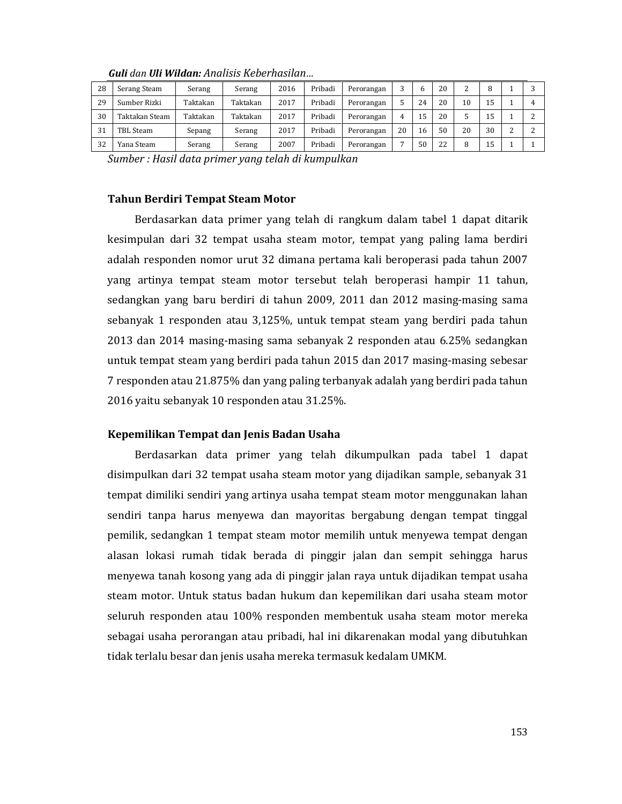| 28 | Serang Steam   | Serang   | Serang   | 2016 | Pribadi | Perorangan |    | b  | 20 | ົ  | Ω  |   |  |
|----|----------------|----------|----------|------|---------|------------|----|----|----|----|----|---|--|
| 29 | Sumber Rizki   | Taktakan | Taktakan | 2017 | Pribadi | Perorangan |    | 24 | 20 | 10 | 15 |   |  |
| 30 | Taktakan Steam | Taktakan | Taktakan | 2017 | Pribadi | Perorangan | Δ  | 15 | 20 |    | 15 |   |  |
| 31 | TBL Steam      | Sepang   | Serang   | 2017 | Pribadi | Perorangan | 20 | 16 | 50 | 20 | 30 | ົ |  |
| 32 | Yana Steam     | Serang   | Serang   | 2007 | Pribadi | Perorangan |    | 50 | 22 | 8  | 15 |   |  |

Guli dan Uli Wildan: Analisis Keberhasilan...

Sumber : Hasil data primer yang telah di kumpulkan

#### **Tahun Berdiri Tempat Steam Motor**

Berdasarkan data primer yang telah di rangkum dalam tabel 1 dapat ditarik kesimpulan dari 32 tempat usaha steam motor, tempat yang paling lama berdiri adalah responden nomor urut 32 dimana pertama kali beroperasi pada tahun 2007 yang artinya tempat steam motor tersebut telah beroperasi hampir 11 tahun, sedangkan yang baru berdiri di tahun 2009, 2011 dan 2012 masing-masing sama sebanyak 1 responden atau 3,125%, untuk tempat steam yang berdiri pada tahun 2013 dan 2014 masing-masing sama sebanyak 2 responden atau 6.25% sedangkan untuk tempat steam yang berdiri pada tahun 2015 dan 2017 masing-masing sebesar 7 responden atau 21.875% dan yang paling terbanyak adalah yang berdiri pada tahun 2016 yaitu sebanyak 10 responden atau 31.25%.

# Kepemilikan Tempat dan Jenis Badan Usaha

Berdasarkan data primer yang telah dikumpulkan pada tabel 1 dapat disimpulkan dari 32 tempat usaha steam motor yang dijadikan sample, sebanyak 31 tempat dimiliki sendiri yang artinya usaha tempat steam motor menggunakan lahan sendiri tanpa harus menyewa dan mayoritas bergabung dengan tempat tinggal pemilik, sedangkan 1 tempat steam motor memilih untuk menyewa tempat dengan alasan lokasi rumah tidak berada di pinggir jalan dan sempit sehingga harus menyewa tanah kosong yang ada di pinggir jalan raya untuk dijadikan tempat usaha steam motor. Untuk status badan hukum dan kepemilikan dari usaha steam motor seluruh responden atau 100% responden membentuk usaha steam motor mereka sebagai usaha perorangan atau pribadi, hal ini dikarenakan modal yang dibutuhkan tidak terlalu besar dan jenis usaha mereka termasuk kedalam UMKM.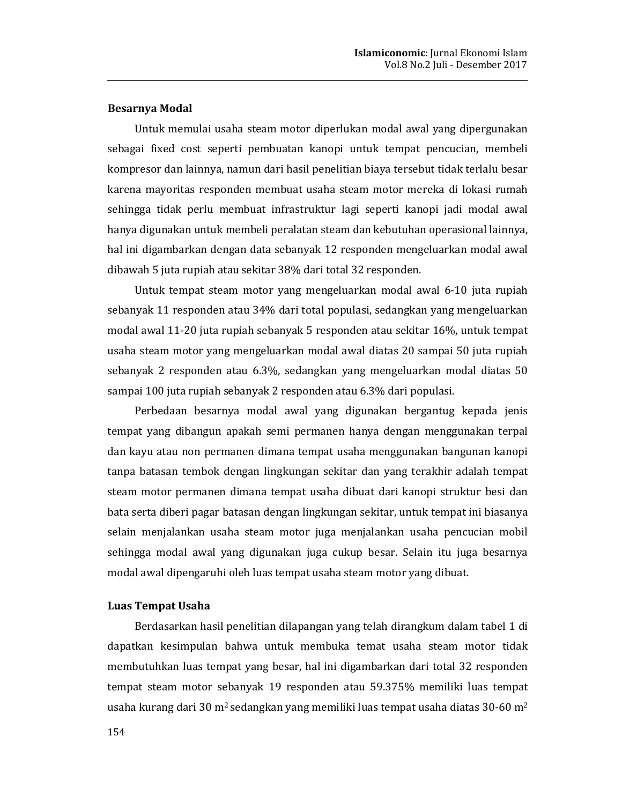#### **Besarnya Modal**

Untuk memulai usaha steam motor diperlukan modal awal yang dipergunakan sebagai fixed cost seperti pembuatan kanopi untuk tempat pencucian, membeli kompresor dan lainnya, namun dari hasil penelitian biaya tersebut tidak terlalu besar karena mayoritas responden membuat usaha steam motor mereka di lokasi rumah sehingga tidak perlu membuat infrastruktur lagi seperti kanopi jadi modal awal hanya digunakan untuk membeli peralatan steam dan kebutuhan operasional lainnya, hal ini digambarkan dengan data sebanyak 12 responden mengeluarkan modal awal dibawah 5 juta rupiah atau sekitar 38% dari total 32 responden.

Untuk tempat steam motor yang mengeluarkan modal awal 6-10 juta rupiah sebanyak 11 responden atau 34% dari total populasi, sedangkan yang mengeluarkan modal awal 11-20 juta rupiah sebanyak 5 responden atau sekitar 16%, untuk tempat usaha steam motor yang mengeluarkan modal awal diatas 20 sampai 50 juta rupiah sebanyak 2 responden atau 6.3%, sedangkan yang mengeluarkan modal diatas 50 sampai 100 juta rupiah sebanyak 2 responden atau 6.3% dari populasi.

Perbedaan besarnya modal awal yang digunakan bergantug kepada jenis tempat yang dibangun apakah semi permanen hanya dengan menggunakan terpal dan kayu atau non permanen dimana tempat usaha menggunakan bangunan kanopi tanpa batasan tembok dengan lingkungan sekitar dan yang terakhir adalah tempat steam motor permanen dimana tempat usaha dibuat dari kanopi struktur besi dan bata serta diberi pagar batasan dengan lingkungan sekitar, untuk tempat ini biasanya selain menjalankan usaha steam motor juga menjalankan usaha pencucian mobil sehingga modal awal yang digunakan juga cukup besar. Selain itu juga besarnya modal awal dipengaruhi oleh luas tempat usaha steam motor yang dibuat.

#### **Luas Tempat Usaha**

Berdasarkan hasil penelitian dilapangan yang telah dirangkum dalam tabel 1 di dapatkan kesimpulan bahwa untuk membuka temat usaha steam motor tidak membutuhkan luas tempat yang besar, hal ini digambarkan dari total 32 responden tempat steam motor sebanyak 19 responden atau 59.375% memiliki luas tempat usaha kurang dari 30 m<sup>2</sup> sedangkan yang memiliki luas tempat usaha diatas 30-60 m<sup>2</sup>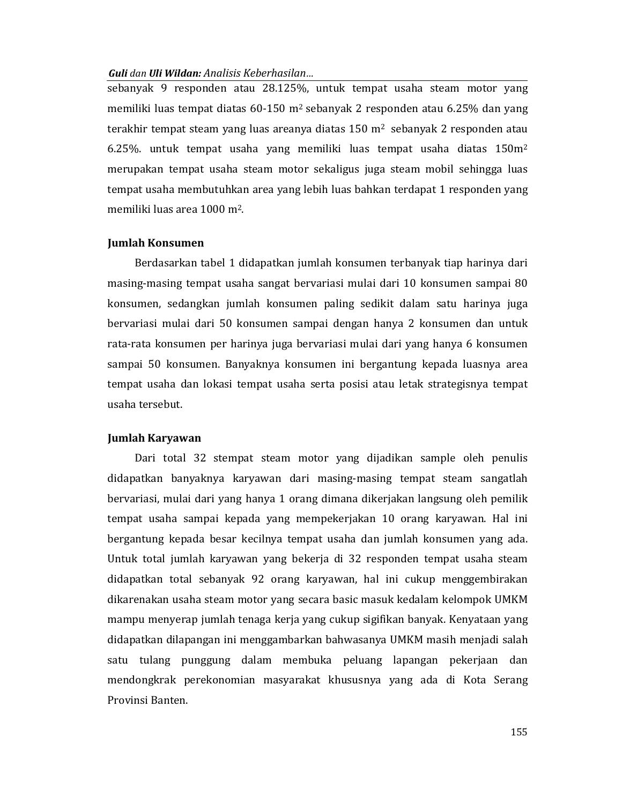sebanyak 9 responden atau 28.125%, untuk tempat usaha steam motor yang memiliki luas tempat diatas 60-150 m<sup>2</sup> sebanyak 2 responden atau 6.25% dan yang terakhir tempat steam yang luas areanya diatas 150 m<sup>2</sup> sebanyak 2 responden atau 6.25%. untuk tempat usaha yang memiliki luas tempat usaha diatas  $150m^2$ merupakan tempat usaha steam motor sekaligus juga steam mobil sehingga luas tempat usaha membutuhkan area yang lebih luas bahkan terdapat 1 responden yang memiliki luas area 1000 m<sup>2</sup>.

## **Jumlah Konsumen**

Berdasarkan tabel 1 didapatkan jumlah konsumen terbanyak tiap harinya dari masing-masing tempat usaha sangat bervariasi mulai dari 10 konsumen sampai 80 konsumen, sedangkan jumlah konsumen paling sedikit dalam satu harinya juga bervariasi mulai dari 50 konsumen sampai dengan hanya 2 konsumen dan untuk rata-rata konsumen per harinya juga bervariasi mulai dari yang hanya 6 konsumen sampai 50 konsumen. Banyaknya konsumen ini bergantung kepada luasnya area tempat usaha dan lokasi tempat usaha serta posisi atau letak strategisnya tempat usaha tersebut.

#### Jumlah Karyawan

Dari total 32 stempat steam motor yang dijadikan sample oleh penulis didapatkan banyaknya karyawan dari masing-masing tempat steam sangatlah bervariasi, mulai dari yang hanya 1 orang dimana dikerjakan langsung oleh pemilik tempat usaha sampai kepada yang mempekerjakan 10 orang karyawan. Hal ini bergantung kepada besar kecilnya tempat usaha dan jumlah konsumen yang ada. Untuk total jumlah karyawan yang bekerja di 32 responden tempat usaha steam didapatkan total sebanyak 92 orang karyawan, hal ini cukup menggembirakan dikarenakan usaha steam motor yang secara basic masuk kedalam kelompok UMKM mampu menyerap jumlah tenaga kerja yang cukup sigifikan banyak. Kenyataan yang didapatkan dilapangan ini menggambarkan bahwasanya UMKM masih menjadi salah satu tulang punggung dalam membuka peluang lapangan pekerjaan dan mendongkrak perekonomian masyarakat khususnya yang ada di Kota Serang Provinsi Banten.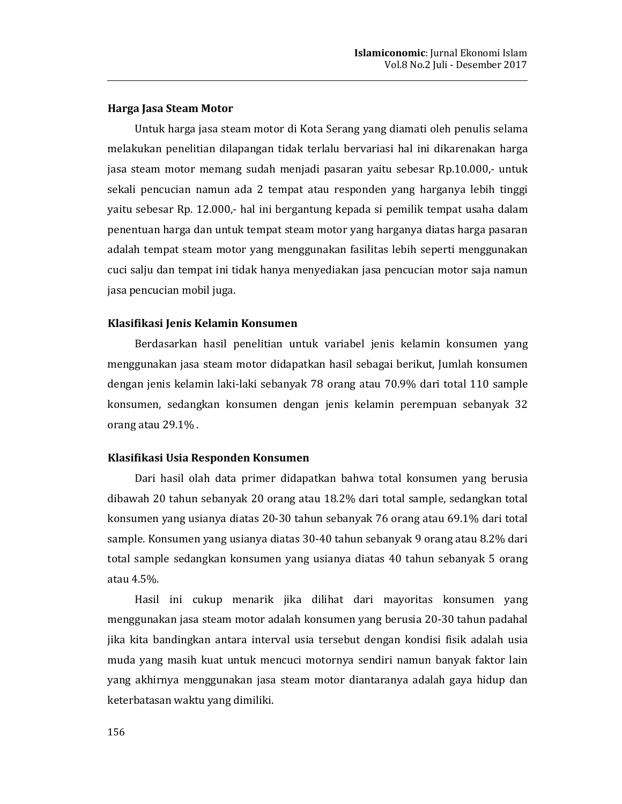# Harga Jasa Steam Motor

Untuk harga jasa steam motor di Kota Serang yang diamati oleh penulis selama melakukan penelitian dilapangan tidak terlalu bervariasi hal ini dikarenakan harga jasa steam motor memang sudah menjadi pasaran yaitu sebesar Rp.10.000,- untuk sekali pencucian namun ada 2 tempat atau responden yang harganya lebih tinggi yaitu sebesar Rp. 12.000,- hal ini bergantung kepada si pemilik tempat usaha dalam penentuan harga dan untuk tempat steam motor yang harganya diatas harga pasaran adalah tempat steam motor yang menggunakan fasilitas lebih seperti menggunakan cuci salju dan tempat ini tidak hanya menyediakan jasa pencucian motor saja namun jasa pencucian mobil juga.

## Klasifikasi Jenis Kelamin Konsumen

Berdasarkan hasil penelitian untuk variabel jenis kelamin konsumen yang menggunakan jasa steam motor didapatkan hasil sebagai berikut, Jumlah konsumen dengan jenis kelamin laki-laki sebanyak 78 orang atau 70.9% dari total 110 sample konsumen, sedangkan konsumen dengan jenis kelamin perempuan sebanyak 32 orang atau 29.1%.

## Klasifikasi Usia Responden Konsumen

Dari hasil olah data primer didapatkan bahwa total konsumen yang berusia dibawah 20 tahun sebanyak 20 orang atau 18.2% dari total sample, sedangkan total konsumen yang usianya diatas 20-30 tahun sebanyak 76 orang atau 69.1% dari total sample. Konsumen yang usianya diatas 30-40 tahun sebanyak 9 orang atau 8.2% dari total sample sedangkan konsumen yang usianya diatas 40 tahun sebanyak 5 orang atau 4.5%.

Hasil ini cukup menarik jika dilihat dari mayoritas konsumen yang menggunakan jasa steam motor adalah konsumen yang berusia 20-30 tahun padahal jika kita bandingkan antara interval usia tersebut dengan kondisi fisik adalah usia muda yang masih kuat untuk mencuci motornya sendiri namun banyak faktor lain yang akhirnya menggunakan jasa steam motor diantaranya adalah gaya hidup dan keterbatasan waktu yang dimiliki.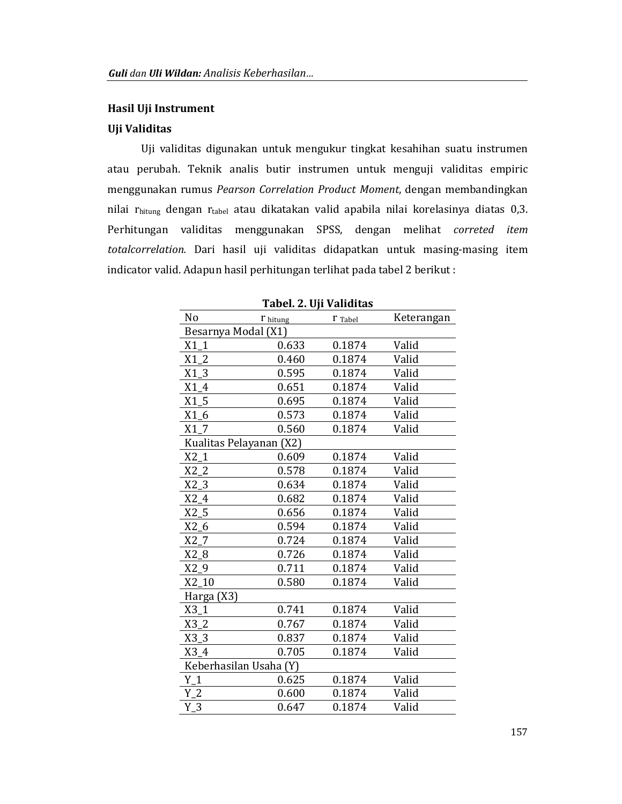## Hasil Uji Instrument

# Uji Validitas

Uji validitas digunakan untuk mengukur tingkat kesahihan suatu instrumen atau perubah. Teknik analis butir instrumen untuk menguji validitas empiric menggunakan rumus Pearson Correlation Product Moment, dengan membandingkan nilai rhitung dengan rtabel atau dikatakan valid apabila nilai korelasinya diatas 0,3. Perhitungan validitas menggunakan SPSS, dengan melihat correted item totalcorrelation. Dari hasil uji validitas didapatkan untuk masing-masing item indicator valid. Adapun hasil perhitungan terlihat pada tabel 2 berikut :

| No                      | $r_{\text{hitung}}$ | I Tabel | Keterangan |  |  |  |  |  |
|-------------------------|---------------------|---------|------------|--|--|--|--|--|
| Besarnya Modal (X1)     |                     |         |            |  |  |  |  |  |
| $X1_1$                  | 0.633               | 0.1874  | Valid      |  |  |  |  |  |
| X1 2                    | 0.460               | 0.1874  | Valid      |  |  |  |  |  |
| X1 3                    | 0.595               | 0.1874  | Valid      |  |  |  |  |  |
| X1 4                    | 0.651               | 0.1874  | Valid      |  |  |  |  |  |
| $X1_5$                  | 0.695               | 0.1874  | Valid      |  |  |  |  |  |
| $X1_6$                  | 0.573               | 0.1874  | Valid      |  |  |  |  |  |
| X1 7                    | 0.560               | 0.1874  | Valid      |  |  |  |  |  |
| Kualitas Pelayanan (X2) |                     |         |            |  |  |  |  |  |
| $X2_1$                  | 0.609               | 0.1874  | Valid      |  |  |  |  |  |
| $X2_2$                  | 0.578               | 0.1874  | Valid      |  |  |  |  |  |
| $X2_3$                  | 0.634               | 0.1874  | Valid      |  |  |  |  |  |
| $X2_4$                  | 0.682               | 0.1874  | Valid      |  |  |  |  |  |
| $X2_5$                  | 0.656               | 0.1874  | Valid      |  |  |  |  |  |
| X2 6                    | 0.594               | 0.1874  | Valid      |  |  |  |  |  |
| X2 7                    | 0.724               | 0.1874  | Valid      |  |  |  |  |  |
| $X2_8$                  | 0.726               | 0.1874  | Valid      |  |  |  |  |  |
| $X2_9$                  | 0.711               | 0.1874  | Valid      |  |  |  |  |  |
| $X2_10$                 | 0.580               | 0.1874  | Valid      |  |  |  |  |  |
| Harga (X3)              |                     |         |            |  |  |  |  |  |
| $X3_1$                  | 0.741               | 0.1874  | Valid      |  |  |  |  |  |
| $X3_2$                  | 0.767               | 0.1874  | Valid      |  |  |  |  |  |
| $X3_3$                  | 0.837               | 0.1874  | Valid      |  |  |  |  |  |
| $X3_4$                  | 0.705               | 0.1874  | Valid      |  |  |  |  |  |
| Keberhasilan Usaha (Y)  |                     |         |            |  |  |  |  |  |
| $Y_1$                   | 0.625               | 0.1874  | Valid      |  |  |  |  |  |
| $Y_2$                   | 0.600               | 0.1874  | Valid      |  |  |  |  |  |
| $Y_3$                   | 0.647               | 0.1874  | Valid      |  |  |  |  |  |

Tabel. 2. Uii Validitas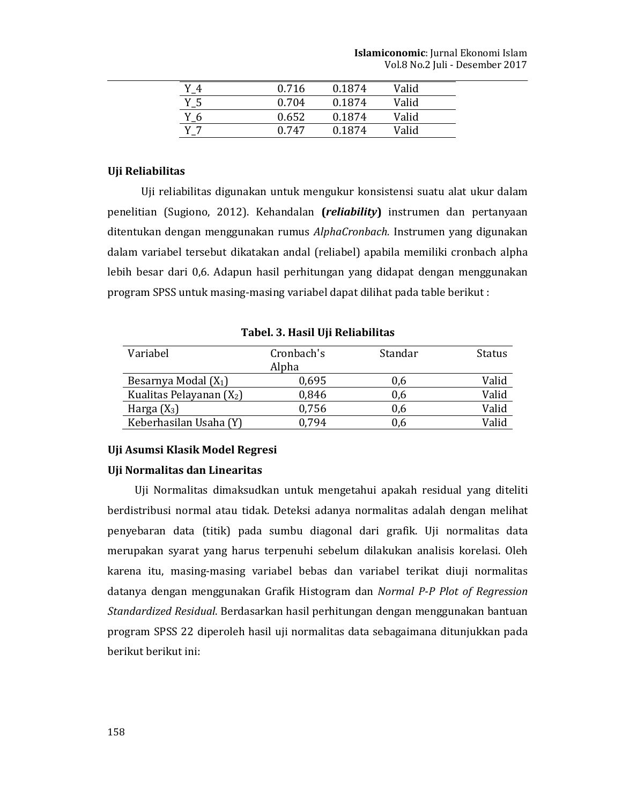|       | 0.716 | 0.1874 | Valid |  |
|-------|-------|--------|-------|--|
| $Y_5$ | 0.704 | 0.1874 | Valid |  |
| $Y_6$ | 0.652 | 0.1874 | Valid |  |
|       | 0.747 | 0.1874 | Valid |  |

## Uji Reliabilitas

Uji reliabilitas digunakan untuk mengukur konsistensi suatu alat ukur dalam penelitian (Sugiono, 2012). Kehandalan (reliability) instrumen dan pertanyaan ditentukan dengan menggunakan rumus AlphaCronbach. Instrumen yang digunakan dalam variabel tersebut dikatakan andal (reliabel) apabila memiliki cronbach alpha lebih besar dari 0,6. Adapun hasil perhitungan yang didapat dengan menggunakan program SPSS untuk masing-masing variabel dapat dilihat pada table berikut:

| Variabel                   | Cronbach's | Standar | Status |
|----------------------------|------------|---------|--------|
|                            | Alpha      |         |        |
| Besarnya Modal $(X_1)$     | 0,695      | 0,6     | Valid  |
| Kualitas Pelayanan $(X_2)$ | 0,846      | 0,6     | Valid  |
| Harga $(X_3)$              | 0,756      | 0,6     | Valid  |
| Keberhasilan Usaha (Y)     | 0.794      | 0.6     | Valid  |

Tabel, 3. Hasil Uii Reliabilitas

#### Uji Asumsi Klasik Model Regresi

## Uji Normalitas dan Linearitas

Uji Normalitas dimaksudkan untuk mengetahui apakah residual yang diteliti berdistribusi normal atau tidak. Deteksi adanya normalitas adalah dengan melihat penyebaran data (titik) pada sumbu diagonal dari grafik. Uji normalitas data merupakan syarat yang harus terpenuhi sebelum dilakukan analisis korelasi. Oleh karena itu, masing-masing variabel bebas dan variabel terikat diuji normalitas datanya dengan menggunakan Grafik Histogram dan Normal P-P Plot of Regression Standardized Residual. Berdasarkan hasil perhitungan dengan menggunakan bantuan program SPSS 22 diperoleh hasil uji normalitas data sebagaimana ditunjukkan pada berikut berikut ini: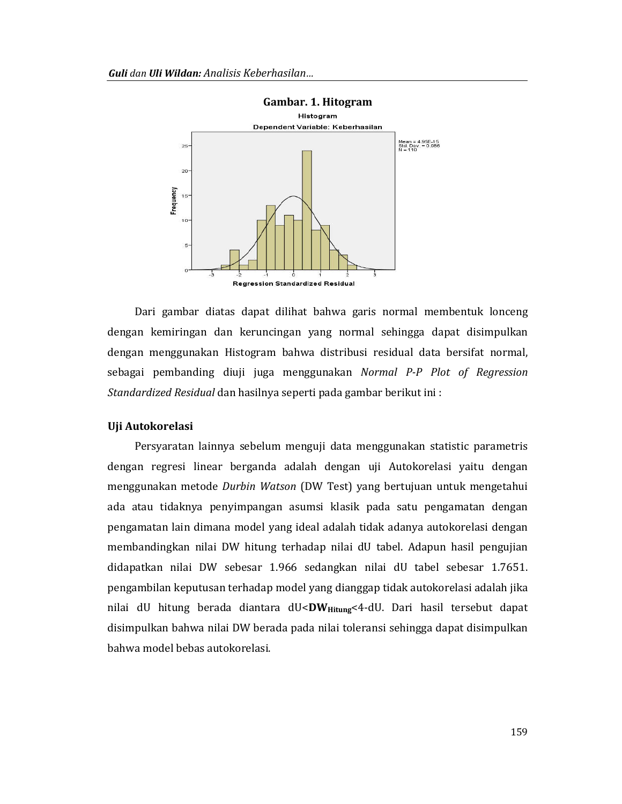

Dari gambar diatas dapat dilihat bahwa garis normal membentuk lonceng dengan kemiringan dan keruncingan yang normal sehingga dapat disimpulkan dengan menggunakan Histogram bahwa distribusi residual data bersifat normal, sebagai pembanding diuji juga menggunakan Normal P-P Plot of Regression Standardized Residual dan hasilnya seperti pada gambar berikut ini :

#### Uji Autokorelasi

Persyaratan lainnya sebelum menguji data menggunakan statistic parametris dengan regresi linear berganda adalah dengan uji Autokorelasi yaitu dengan menggunakan metode Durbin Watson (DW Test) yang bertujuan untuk mengetahui ada atau tidaknya penyimpangan asumsi klasik pada satu pengamatan dengan pengamatan lain dimana model yang ideal adalah tidak adanya autokorelasi dengan membandingkan nilai DW hitung terhadap nilai dU tabel. Adapun hasil pengujian didapatkan nilai DW sebesar 1.966 sedangkan nilai dU tabel sebesar 1.7651. pengambilan keputusan terhadap model yang dianggap tidak autokorelasi adalah jika nilai dU hitung berada diantara dU<DW<sub>Hitung</sub><4-dU. Dari hasil tersebut dapat disimpulkan bahwa nilai DW berada pada nilai toleransi sehingga dapat disimpulkan bahwa model bebas autokorelasi.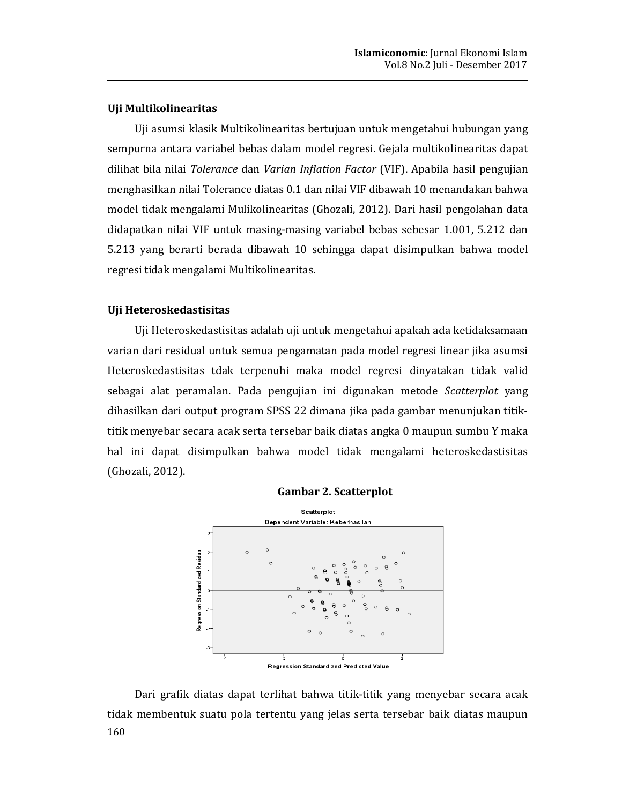# Uji Multikolinearitas

Uji asumsi klasik Multikolinearitas bertujuan untuk mengetahui hubungan yang sempurna antara variabel bebas dalam model regresi. Gejala multikolinearitas dapat dilihat bila nilai Tolerance dan Varian Inflation Factor (VIF). Apabila hasil pengujian menghasilkan nilai Tolerance diatas 0.1 dan nilai VIF dibawah 10 menandakan bahwa model tidak mengalami Mulikolinearitas (Ghozali, 2012). Dari hasil pengolahan data didapatkan nilai VIF untuk masing-masing variabel bebas sebesar 1.001, 5.212 dan 5.213 yang berarti berada dibawah 10 sehingga dapat disimpulkan bahwa model regresi tidak mengalami Multikolinearitas.

# Uji Heteroskedastisitas

Uji Heteroskedastisitas adalah uji untuk mengetahui apakah ada ketidaksamaan varian dari residual untuk semua pengamatan pada model regresi linear jika asumsi Heteroskedastisitas tdak terpenuhi maka model regresi dinyatakan tidak valid sebagai alat peramalan. Pada pengujian ini digunakan metode Scatterplot yang dihasilkan dari output program SPSS 22 dimana jika pada gambar menunjukan titiktitik menyebar secara acak serta tersebar baik diatas angka 0 maupun sumbu Y maka hal ini dapat disimpulkan bahwa model tidak mengalami heteroskedastisitas (Ghozali, 2012).





Dari grafik diatas dapat terlihat bahwa titik-titik yang menyebar secara acak tidak membentuk suatu pola tertentu yang jelas serta tersebar baik diatas maupun 160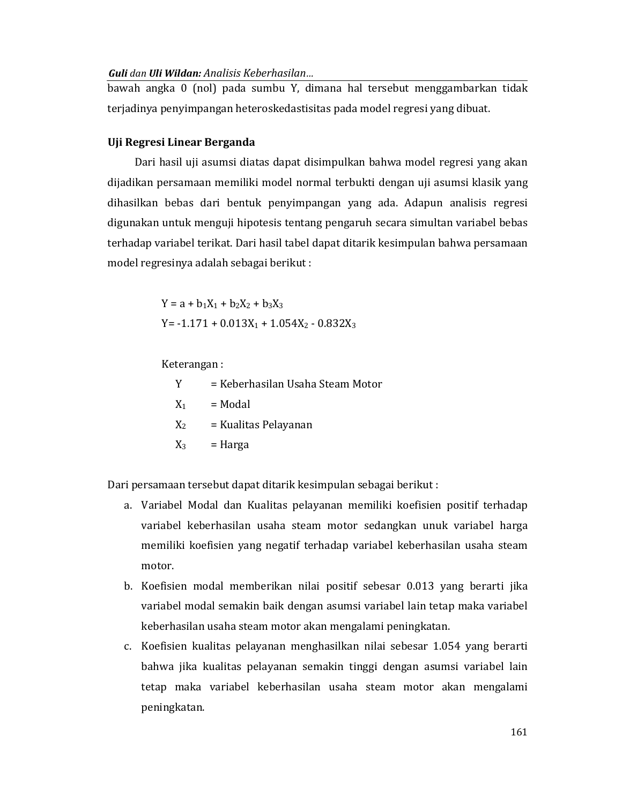bawah angka 0 (nol) pada sumbu Y, dimana hal tersebut menggambarkan tidak terjadinya penyimpangan heteroskedastisitas pada model regresi yang dibuat.

# Uji Regresi Linear Berganda

Dari hasil uji asumsi diatas dapat disimpulkan bahwa model regresi yang akan dijadikan persamaan memiliki model normal terbukti dengan uji asumsi klasik yang dihasilkan bebas dari bentuk penyimpangan yang ada. Adapun analisis regresi digunakan untuk menguji hipotesis tentang pengaruh secara simultan variabel bebas terhadap variabel terikat. Dari hasil tabel dapat ditarik kesimpulan bahwa persamaan model regresinya adalah sebagai berikut:

> $Y = a + b_1X_1 + b_2X_2 + b_3X_3$  $Y = -1.171 + 0.013X_1 + 1.054X_2 - 0.832X_3$

Keterangan:

Y = Keberhasilan Usaha Steam Motor  $X_1$  $=$  Modal = Kualitas Pelayanan  $X_2$  $X_3$  $=$  Harga

Dari persamaan tersebut dapat ditarik kesimpulan sebagai berikut:

- a. Variabel Modal dan Kualitas pelayanan memiliki koefisien positif terhadap variabel keberhasilan usaha steam motor sedangkan unuk variabel harga memiliki koefisien yang negatif terhadap variabel keberhasilan usaha steam motor.
- b. Koefisien modal memberikan nilai positif sebesar 0.013 yang berarti jika variabel modal semakin baik dengan asumsi variabel lain tetap maka variabel keberhasilan usaha steam motor akan mengalami peningkatan.
- c. Koefisien kualitas pelayanan menghasilkan nilai sebesar 1.054 yang berarti bahwa jika kualitas pelayanan semakin tinggi dengan asumsi variabel lain tetap maka variabel keberhasilan usaha steam motor akan mengalami peningkatan.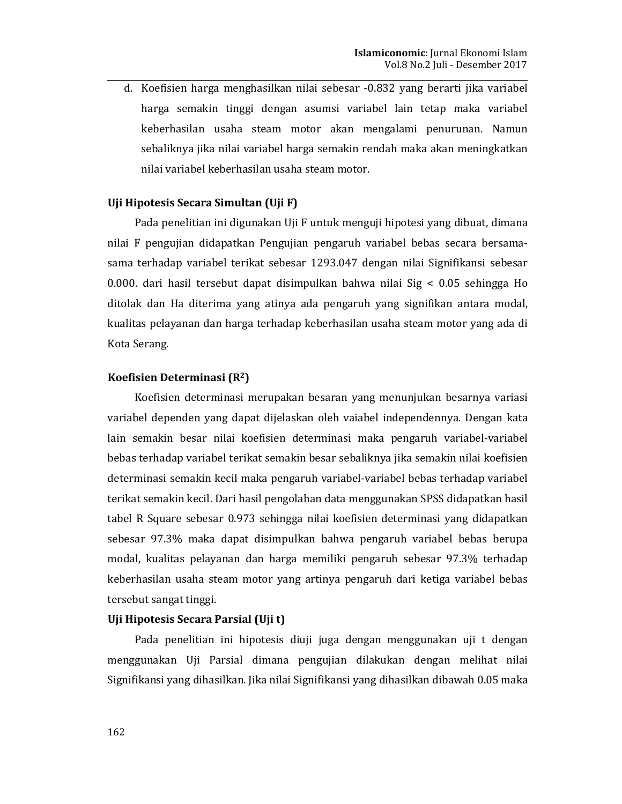d. Koefisien harga menghasilkan nilai sebesar -0.832 yang berarti jika variabel harga semakin tinggi dengan asumsi variabel lain tetap maka variabel keberhasilan usaha steam motor akan mengalami penurunan. Namun sebaliknya jika nilai variabel harga semakin rendah maka akan meningkatkan nilai variabel keberhasilan usaha steam motor.

# Uji Hipotesis Secara Simultan (Uji F)

Pada penelitian ini digunakan Uji F untuk menguji hipotesi yang dibuat, dimana nilai F pengujian didapatkan Pengujian pengaruh variabel bebas secara bersamasama terhadap variabel terikat sebesar 1293.047 dengan nilai Signifikansi sebesar 0.000. dari hasil tersebut dapat disimpulkan bahwa nilai Sig < 0.05 sehingga Ho ditolak dan Ha diterima yang atinya ada pengaruh yang signifikan antara modal, kualitas pelayanan dan harga terhadap keberhasilan usaha steam motor yang ada di Kota Serang.

#### Koefisien Determinasi (R<sup>2</sup>)

Koefisien determinasi merupakan besaran yang menunjukan besarnya variasi variabel dependen yang dapat dijelaskan oleh vaiabel independennya. Dengan kata lain semakin besar nilai koefisien determinasi maka pengaruh variabel-variabel bebas terhadap variabel terikat semakin besar sebaliknya jika semakin nilai koefisien determinasi semakin kecil maka pengaruh variabel-variabel bebas terhadap variabel terikat semakin kecil. Dari hasil pengolahan data menggunakan SPSS didapatkan hasil tabel R Square sebesar 0.973 sehingga nilai koefisien determinasi yang didapatkan sebesar 97.3% maka dapat disimpulkan bahwa pengaruh variabel bebas berupa modal, kualitas pelayanan dan harga memiliki pengaruh sebesar 97.3% terhadap keberhasilan usaha steam motor yang artinya pengaruh dari ketiga variabel bebas tersebut sangat tinggi.

# Uji Hipotesis Secara Parsial (Uji t)

Pada penelitian ini hipotesis diuji juga dengan menggunakan uji t dengan menggunakan Uji Parsial dimana pengujian dilakukan dengan melihat nilai Signifikansi yang dihasilkan. Jika nilai Signifikansi yang dihasilkan dibawah 0.05 maka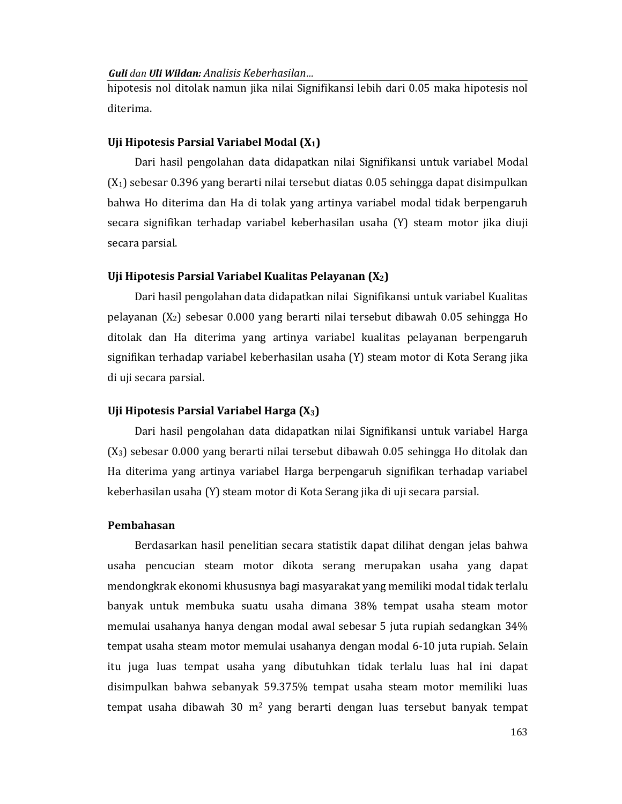hipotesis nol ditolak namun jika nilai Signifikansi lebih dari 0.05 maka hipotesis nol diterima.

## Uji Hipotesis Parsial Variabel Modal  $(X_1)$

Dari hasil pengolahan data didapatkan nilai Signifikansi untuk variabel Modal  $(X_1)$  sebesar 0.396 yang berarti nilai tersebut diatas 0.05 sehingga dapat disimpulkan bahwa Ho diterima dan Ha di tolak yang artinya variabel modal tidak berpengaruh secara signifikan terhadap variabel keberhasilan usaha (Y) steam motor jika diuji secara parsial.

## Uji Hipotesis Parsial Variabel Kualitas Pelayanan  $(X_2)$

Dari hasil pengolahan data didapatkan nilai Signifikansi untuk variabel Kualitas pelayanan  $(X_2)$  sebesar 0.000 yang berarti nilai tersebut dibawah 0.05 sehingga Ho ditolak dan Ha diterima yang artinya variabel kualitas pelayanan berpengaruh signifikan terhadap variabel keberhasilan usaha (Y) steam motor di Kota Serang jika di uji secara parsial.

## Uji Hipotesis Parsial Variabel Harga  $(X_3)$

Dari hasil pengolahan data didapatkan nilai Signifikansi untuk variabel Harga (X<sub>3</sub>) sebesar 0.000 yang berarti nilai tersebut dibawah 0.05 sehingga Ho ditolak dan Ha diterima yang artinya variabel Harga berpengaruh signifikan terhadap variabel keberhasilan usaha (Y) steam motor di Kota Serang jika di uji secara parsial.

# Pembahasan

Berdasarkan hasil penelitian secara statistik dapat dilihat dengan jelas bahwa usaha pencucian steam motor dikota serang merupakan usaha yang dapat mendongkrak ekonomi khususnya bagi masyarakat yang memiliki modal tidak terlalu banyak untuk membuka suatu usaha dimana 38% tempat usaha steam motor memulai usahanya hanya dengan modal awal sebesar 5 juta rupiah sedangkan 34% tempat usaha steam motor memulai usahanya dengan modal 6-10 juta rupiah. Selain itu juga luas tempat usaha yang dibutuhkan tidak terlalu luas hal ini dapat disimpulkan bahwa sebanyak 59.375% tempat usaha steam motor memiliki luas tempat usaha dibawah 30 m<sup>2</sup> yang berarti dengan luas tersebut banyak tempat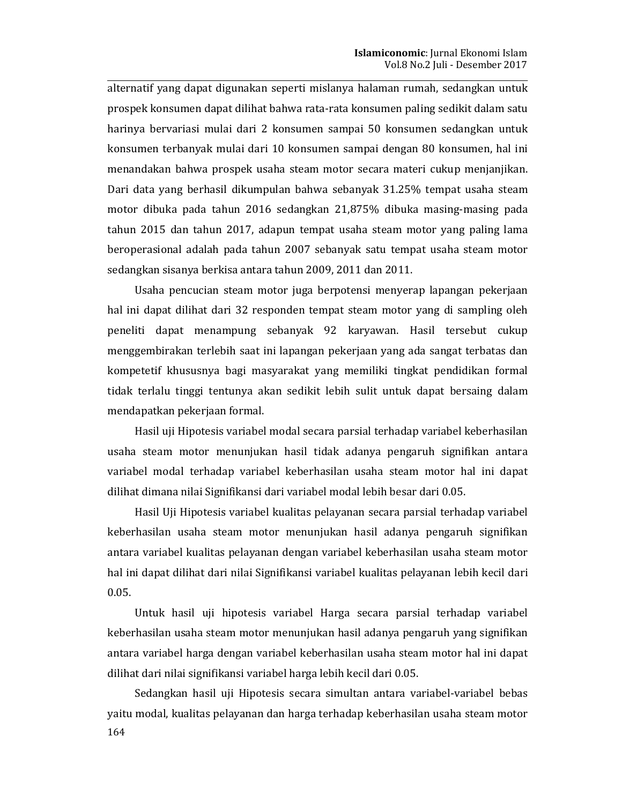alternatif yang dapat digunakan seperti mislanya halaman rumah, sedangkan untuk prospek konsumen dapat dilihat bahwa rata-rata konsumen paling sedikit dalam satu harinya bervariasi mulai dari 2 konsumen sampai 50 konsumen sedangkan untuk konsumen terbanyak mulai dari 10 konsumen sampai dengan 80 konsumen, hal ini menandakan bahwa prospek usaha steam motor secara materi cukup menjanjikan. Dari data yang berhasil dikumpulan bahwa sebanyak 31.25% tempat usaha steam motor dibuka pada tahun 2016 sedangkan 21,875% dibuka masing-masing pada tahun 2015 dan tahun 2017, adapun tempat usaha steam motor yang paling lama beroperasional adalah pada tahun 2007 sebanyak satu tempat usaha steam motor sedangkan sisanya berkisa antara tahun 2009, 2011 dan 2011.

Usaha pencucian steam motor juga berpotensi menyerap lapangan pekerjaan hal ini dapat dilihat dari 32 responden tempat steam motor yang di sampling oleh peneliti dapat menampung sebanyak 92 karyawan. Hasil tersebut cukup menggembirakan terlebih saat ini lapangan pekerjaan yang ada sangat terbatas dan kompetetif khususnya bagi masyarakat yang memiliki tingkat pendidikan formal tidak terlalu tinggi tentunya akan sedikit lebih sulit untuk dapat bersaing dalam mendapatkan pekerjaan formal.

Hasil uji Hipotesis variabel modal secara parsial terhadap variabel keberhasilan usaha steam motor menunjukan hasil tidak adanya pengaruh signifikan antara variabel modal terhadap variabel keberhasilan usaha steam motor hal ini dapat dilihat dimana nilai Signifikansi dari variabel modal lebih besar dari 0.05.

Hasil Uji Hipotesis variabel kualitas pelayanan secara parsial terhadap variabel keberhasilan usaha steam motor menunjukan hasil adanya pengaruh signifikan antara variabel kualitas pelayanan dengan variabel keberhasilan usaha steam motor hal ini dapat dilihat dari nilai Signifikansi variabel kualitas pelayanan lebih kecil dari  $0.05.$ 

Untuk hasil uji hipotesis variabel Harga secara parsial terhadap variabel keberhasilan usaha steam motor menunjukan hasil adanya pengaruh yang signifikan antara variabel harga dengan variabel keberhasilan usaha steam motor hal ini dapat dilihat dari nilai signifikansi variabel harga lebih kecil dari 0.05.

Sedangkan hasil uji Hipotesis secara simultan antara variabel-variabel bebas yaitu modal, kualitas pelayanan dan harga terhadap keberhasilan usaha steam motor 164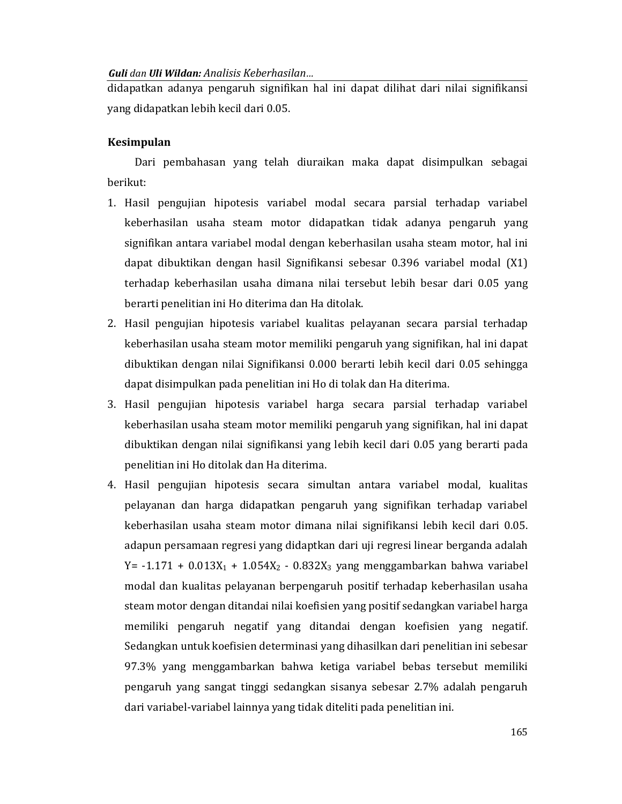didapatkan adanya pengaruh signifikan hal ini dapat dilihat dari nilai signifikansi yang didapatkan lebih kecil dari 0.05.

# **Kesimpulan**

Dari pembahasan yang telah diuraikan maka dapat disimpulkan sebagai berikut:

- 1. Hasil pengujian hipotesis variabel modal secara parsial terhadap variabel keberhasilan usaha steam motor didapatkan tidak adanya pengaruh yang signifikan antara variabel modal dengan keberhasilan usaha steam motor, hal ini dapat dibuktikan dengan hasil Signifikansi sebesar 0.396 variabel modal (X1) terhadap keberhasilan usaha dimana nilai tersebut lebih besar dari 0.05 yang berarti penelitian ini Ho diterima dan Ha ditolak.
- 2. Hasil pengujian hipotesis variabel kualitas pelayanan secara parsial terhadap keberhasilan usaha steam motor memiliki pengaruh yang signifikan, hal ini dapat dibuktikan dengan nilai Signifikansi 0.000 berarti lebih kecil dari 0.05 sehingga dapat disimpulkan pada penelitian ini Ho di tolak dan Ha diterima.
- 3. Hasil pengujian hipotesis variabel harga secara parsial terhadap variabel keberhasilan usaha steam motor memiliki pengaruh yang signifikan, hal ini dapat dibuktikan dengan nilai signifikansi yang lebih kecil dari 0.05 yang berarti pada penelitian ini Ho ditolak dan Ha diterima.
- 4. Hasil pengujian hipotesis secara simultan antara variabel modal, kualitas pelayanan dan harga didapatkan pengaruh yang signifikan terhadap variabel keberhasilan usaha steam motor dimana nilai signifikansi lebih kecil dari 0.05. adapun persamaan regresi yang didaptkan dari uji regresi linear berganda adalah Y = -1.171 +  $0.013X_1$  +  $1.054X_2$  -  $0.832X_3$  yang menggambarkan bahwa variabel modal dan kualitas pelayanan berpengaruh positif terhadap keberhasilan usaha steam motor dengan ditandai nilai koefisien yang positif sedangkan variabel harga memiliki pengaruh negatif yang ditandai dengan koefisien yang negatif. Sedangkan untuk koefisien determinasi yang dihasilkan dari penelitian ini sebesar 97.3% yang menggambarkan bahwa ketiga variabel bebas tersebut memiliki pengaruh yang sangat tinggi sedangkan sisanya sebesar 2.7% adalah pengaruh dari variabel-variabel lainnya yang tidak diteliti pada penelitian ini.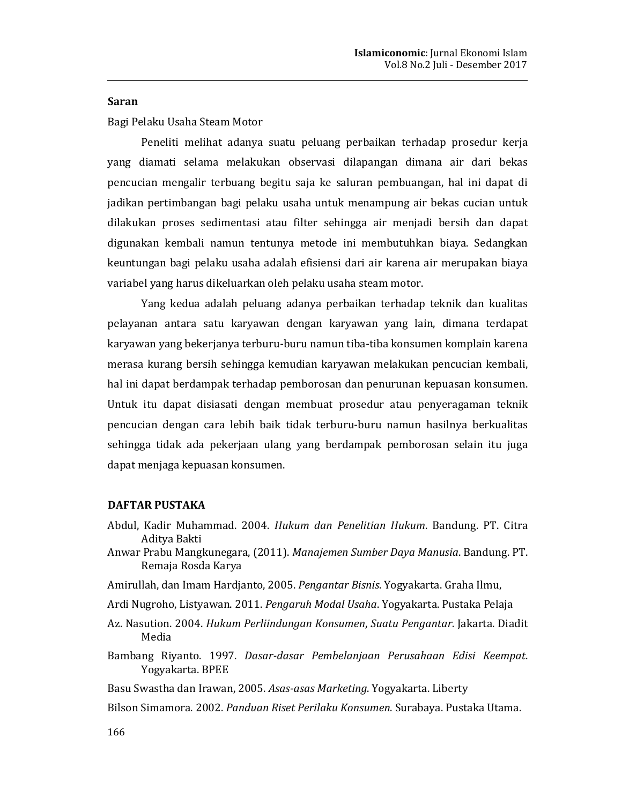## **Saran**

Bagi Pelaku Usaha Steam Motor

Peneliti melihat adanya suatu peluang perbaikan terhadap prosedur kerja yang diamati selama melakukan observasi dilapangan dimana air dari bekas pencucian mengalir terbuang begitu saja ke saluran pembuangan, hal ini dapat di jadikan pertimbangan bagi pelaku usaha untuk menampung air bekas cucian untuk dilakukan proses sedimentasi atau filter sehingga air menjadi bersih dan dapat digunakan kembali namun tentunya metode ini membutuhkan biaya. Sedangkan keuntungan bagi pelaku usaha adalah efisiensi dari air karena air merupakan biaya variabel yang harus dikeluarkan oleh pelaku usaha steam motor.

Yang kedua adalah peluang adanya perbaikan terhadap teknik dan kualitas pelayanan antara satu karyawan dengan karyawan yang lain, dimana terdapat karyawan yang bekerjanya terburu-buru namun tiba-tiba konsumen komplain karena merasa kurang bersih sehingga kemudian karyawan melakukan pencucian kembali, hal ini dapat berdampak terhadap pemborosan dan penurunan kepuasan konsumen. Untuk itu dapat disiasati dengan membuat prosedur atau penyeragaman teknik pencucian dengan cara lebih baik tidak terburu-buru namun hasilnya berkualitas sehingga tidak ada pekerjaan ulang yang berdampak pemborosan selain itu juga dapat menjaga kepuasan konsumen.

## **DAFTAR PUSTAKA**

- Abdul, Kadir Muhammad. 2004. Hukum dan Penelitian Hukum. Bandung. PT. Citra Aditva Bakti
- Anwar Prabu Mangkunegara, (2011). Manajemen Sumber Daya Manusia. Bandung. PT. Remaja Rosda Karya
- Amirullah, dan Imam Hardjanto, 2005. Pengantar Bisnis. Yogyakarta. Graha Ilmu,
- Ardi Nugroho, Listyawan. 2011. Pengaruh Modal Usaha. Yogyakarta. Pustaka Pelaja
- Az. Nasution. 2004. Hukum Perliindungan Konsumen, Suatu Pengantar. Jakarta. Diadit Media
- Bambang Riyanto. 1997. Dasar-dasar Pembelanjaan Perusahaan Edisi Keempat. Yogyakarta. BPEE
- Basu Swastha dan Irawan, 2005. Asas-asas Marketing. Yogyakarta. Liberty
- Bilson Simamora. 2002. Panduan Riset Perilaku Konsumen. Surabaya. Pustaka Utama.